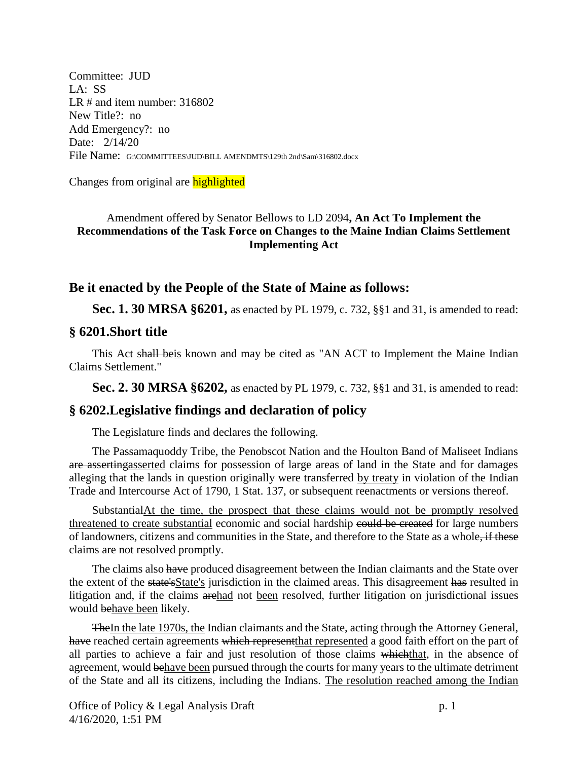Committee: JUD LA: SS LR # and item number: 316802 New Title?: no Add Emergency?: no Date: 2/14/20 File Name: G:\COMMITTEES\JUD\BILL AMENDMTS\129th 2nd\Sam\316802.docx

Changes from original are **highlighted** 

### Amendment offered by Senator Bellows to LD 2094**, An Act To Implement the Recommendations of the Task Force on Changes to the Maine Indian Claims Settlement Implementing Act**

### **Be it enacted by the People of the State of Maine as follows:**

**Sec. 1. 30 MRSA §6201,** as enacted by PL 1979, c. 732, §§1 and 31, is amended to read:

### **§ 6201.Short title**

This Act shall beis known and may be cited as "AN ACT to Implement the Maine Indian Claims Settlement."

**Sec. 2. 30 MRSA §6202,** as enacted by PL 1979, c. 732, §§1 and 31, is amended to read:

## **§ 6202.Legislative findings and declaration of policy**

The Legislature finds and declares the following.

The Passamaquoddy Tribe, the Penobscot Nation and the Houlton Band of Maliseet Indians are assertingasserted claims for possession of large areas of land in the State and for damages alleging that the lands in question originally were transferred by treaty in violation of the Indian Trade and Intercourse Act of 1790, 1 Stat. 137, or subsequent reenactments or versions thereof.

SubstantialAt the time, the prospect that these claims would not be promptly resolved threatened to create substantial economic and social hardship eould be created for large numbers of landowners, citizens and communities in the State, and therefore to the State as a whole, if these claims are not resolved promptly.

The claims also have produced disagreement between the Indian claimants and the State over the extent of the state'sState's jurisdiction in the claimed areas. This disagreement has resulted in litigation and, if the claims arehad not been resolved, further litigation on jurisdictional issues would behave been likely.

The In the late 1970s, the Indian claimants and the State, acting through the Attorney General, have reached certain agreements which represent that represented a good faith effort on the part of all parties to achieve a fair and just resolution of those claims whichthat, in the absence of agreement, would behave been pursued through the courts for many years to the ultimate detriment of the State and all its citizens, including the Indians. The resolution reached among the Indian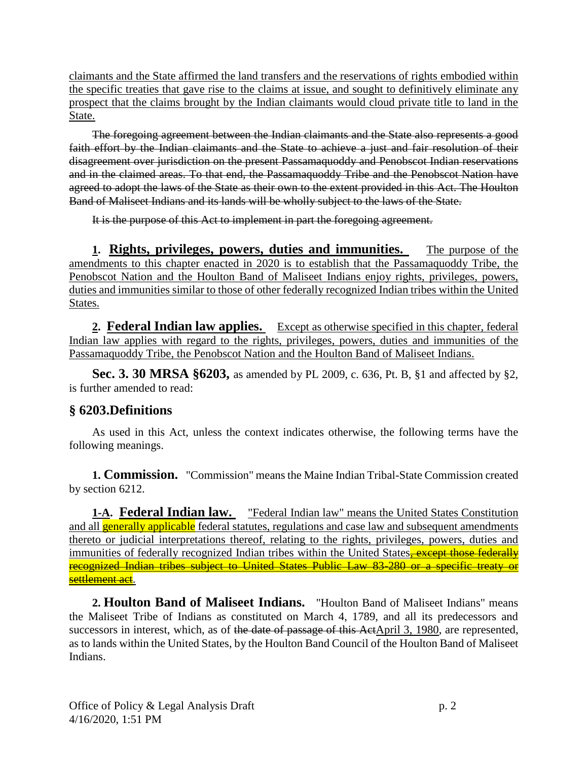claimants and the State affirmed the land transfers and the reservations of rights embodied within the specific treaties that gave rise to the claims at issue, and sought to definitively eliminate any prospect that the claims brought by the Indian claimants would cloud private title to land in the State.

The foregoing agreement between the Indian claimants and the State also represents a good faith effort by the Indian claimants and the State to achieve a just and fair resolution of their disagreement over jurisdiction on the present Passamaquoddy and Penobscot Indian reservations and in the claimed areas. To that end, the Passamaquoddy Tribe and the Penobscot Nation have agreed to adopt the laws of the State as their own to the extent provided in this Act. The Houlton Band of Maliseet Indians and its lands will be wholly subject to the laws of the State.

It is the purpose of this Act to implement in part the foregoing agreement.

**1. Rights, privileges, powers, duties and immunities.** The purpose of the amendments to this chapter enacted in 2020 is to establish that the Passamaquoddy Tribe, the Penobscot Nation and the Houlton Band of Maliseet Indians enjoy rights, privileges, powers, duties and immunities similar to those of other federally recognized Indian tribes within the United States.

**2. Federal Indian law applies.** Except as otherwise specified in this chapter, federal Indian law applies with regard to the rights, privileges, powers, duties and immunities of the Passamaquoddy Tribe, the Penobscot Nation and the Houlton Band of Maliseet Indians.

**Sec. 3. 30 MRSA §6203,** as amended by PL 2009, c. 636, Pt. B, §1 and affected by §2, is further amended to read:

# **§ 6203.Definitions**

As used in this Act, unless the context indicates otherwise, the following terms have the following meanings.

**1. Commission.** "Commission" means the Maine Indian Tribal-State Commission created by section 6212.

**1-A. Federal Indian law.** "Federal Indian law" means the United States Constitution and all **generally applicable** federal statutes, regulations and case law and subsequent amendments thereto or judicial interpretations thereof, relating to the rights, privileges, powers, duties and immunities of federally recognized Indian tribes within the United States, except those federally recognized Indian tribes subject to United States Public Law 83-280 or a specific treaty or <mark>settlement act</mark>.

**2. Houlton Band of Maliseet Indians.** "Houlton Band of Maliseet Indians" means the Maliseet Tribe of Indians as constituted on March 4, 1789, and all its predecessors and successors in interest, which, as of the date of passage of this ActApril 3, 1980, are represented, as to lands within the United States, by the Houlton Band Council of the Houlton Band of Maliseet Indians.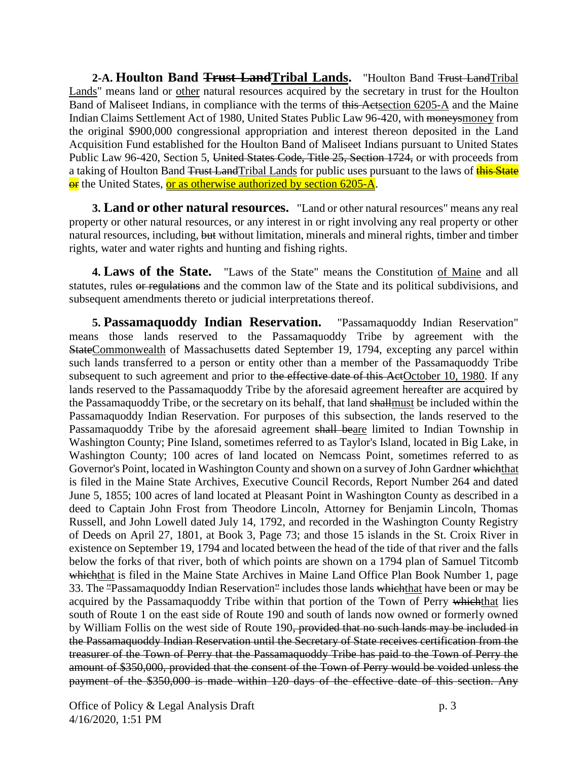2-A. **Houlton Band <del>Trust Land</del>Tribal Lands.** "Houlton Band Trust LandTribal Lands" means land or other natural resources acquired by the secretary in trust for the Houlton Band of Maliseet Indians, in compliance with the terms of this Actsection 6205-A and the Maine Indian Claims Settlement Act of 1980, United States Public Law 96-420, with moneysmoney from the original \$900,000 congressional appropriation and interest thereon deposited in the Land Acquisition Fund established for the Houlton Band of Maliseet Indians pursuant to United States Public Law 96-420, Section 5, United States Code, Title 25, Section 1724, or with proceeds from a taking of Houlton Band Trust LandTribal Lands for public uses pursuant to the laws of this State or the United States, or as otherwise authorized by section 6205-A.

**3. Land or other natural resources.** "Land or other natural resources" means any real property or other natural resources, or any interest in or right involving any real property or other natural resources, including, but without limitation, minerals and mineral rights, timber and timber rights, water and water rights and hunting and fishing rights.

**4. Laws of the State.** "Laws of the State" means the Constitution of Maine and all statutes, rules or regulations and the common law of the State and its political subdivisions, and subsequent amendments thereto or judicial interpretations thereof.

**5. Passamaquoddy Indian Reservation.** "Passamaquoddy Indian Reservation" means those lands reserved to the Passamaquoddy Tribe by agreement with the StateCommonwealth of Massachusetts dated September 19, 1794, excepting any parcel within such lands transferred to a person or entity other than a member of the Passamaquoddy Tribe subsequent to such agreement and prior to the effective date of this ActOctober 10, 1980. If any lands reserved to the Passamaquoddy Tribe by the aforesaid agreement hereafter are acquired by the Passamaquoddy Tribe, or the secretary on its behalf, that land shallmust be included within the Passamaquoddy Indian Reservation. For purposes of this subsection, the lands reserved to the Passamaquoddy Tribe by the aforesaid agreement shall beare limited to Indian Township in Washington County; Pine Island, sometimes referred to as Taylor's Island, located in Big Lake, in Washington County; 100 acres of land located on Nemcass Point, sometimes referred to as Governor's Point, located in Washington County and shown on a survey of John Gardner whichthat is filed in the Maine State Archives, Executive Council Records, Report Number 264 and dated June 5, 1855; 100 acres of land located at Pleasant Point in Washington County as described in a deed to Captain John Frost from Theodore Lincoln, Attorney for Benjamin Lincoln, Thomas Russell, and John Lowell dated July 14, 1792, and recorded in the Washington County Registry of Deeds on April 27, 1801, at Book 3, Page 73; and those 15 islands in the St. Croix River in existence on September 19, 1794 and located between the head of the tide of that river and the falls below the forks of that river, both of which points are shown on a 1794 plan of Samuel Titcomb whichthat is filed in the Maine State Archives in Maine Land Office Plan Book Number 1, page 33. The "Passamaquoddy Indian Reservation" includes those lands which that have been or may be acquired by the Passamaquoddy Tribe within that portion of the Town of Perry whichthat lies south of Route 1 on the east side of Route 190 and south of lands now owned or formerly owned by William Follis on the west side of Route 190, provided that no such lands may be included in the Passamaquoddy Indian Reservation until the Secretary of State receives certification from the treasurer of the Town of Perry that the Passamaquoddy Tribe has paid to the Town of Perry the amount of \$350,000, provided that the consent of the Town of Perry would be voided unless the payment of the \$350,000 is made within 120 days of the effective date of this section. Any

Office of Policy & Legal Analysis Draft p. 3 4/16/2020, 1:51 PM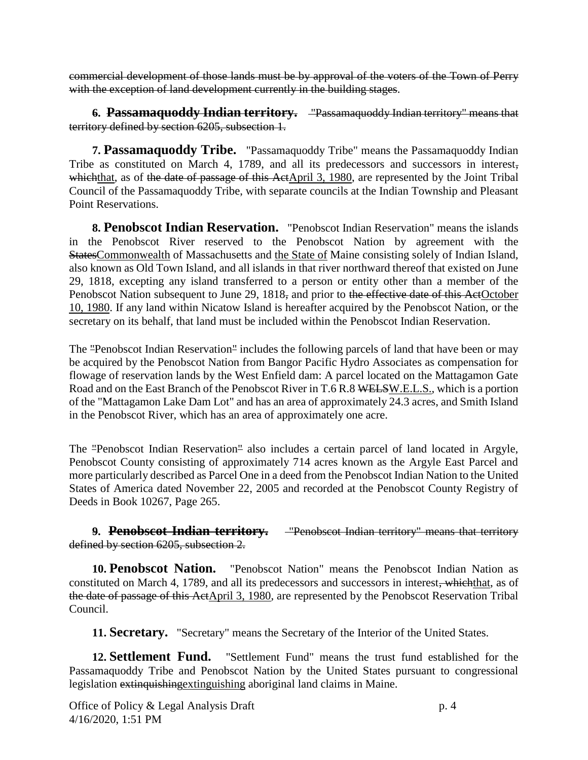commercial development of those lands must be by approval of the voters of the Town of Perry with the exception of land development currently in the building stages.

**6. Passamaquoddy Indian territory.** "Passamaquoddy Indian territory" means that territory defined by section 6205, subsection 1.

**7. Passamaquoddy Tribe.** "Passamaquoddy Tribe" means the Passamaquoddy Indian Tribe as constituted on March 4, 1789, and all its predecessors and successors in interest, whichthat, as of the date of passage of this ActApril 3, 1980, are represented by the Joint Tribal Council of the Passamaquoddy Tribe, with separate councils at the Indian Township and Pleasant Point Reservations.

**8. Penobscot Indian Reservation.** "Penobscot Indian Reservation" means the islands in the Penobscot River reserved to the Penobscot Nation by agreement with the StatesCommonwealth of Massachusetts and the State of Maine consisting solely of Indian Island, also known as Old Town Island, and all islands in that river northward thereof that existed on June 29, 1818, excepting any island transferred to a person or entity other than a member of the Penobscot Nation subsequent to June 29, 1818, and prior to the effective date of this ActOctober 10, 1980. If any land within Nicatow Island is hereafter acquired by the Penobscot Nation, or the secretary on its behalf, that land must be included within the Penobscot Indian Reservation.

The "Penobscot Indian Reservation" includes the following parcels of land that have been or may be acquired by the Penobscot Nation from Bangor Pacific Hydro Associates as compensation for flowage of reservation lands by the West Enfield dam: A parcel located on the Mattagamon Gate Road and on the East Branch of the Penobscot River in T.6 R.8 WELSW.E.L.S., which is a portion of the "Mattagamon Lake Dam Lot" and has an area of approximately 24.3 acres, and Smith Island in the Penobscot River, which has an area of approximately one acre.

The "Penobscot Indian Reservation" also includes a certain parcel of land located in Argyle, Penobscot County consisting of approximately 714 acres known as the Argyle East Parcel and more particularly described as Parcel One in a deed from the Penobscot Indian Nation to the United States of America dated November 22, 2005 and recorded at the Penobscot County Registry of Deeds in Book 10267, Page 265.

### **9. Penobscot Indian territory.** "Penobscot Indian territory" means that territory defined by section 6205, subsection 2.

**10. Penobscot Nation.** "Penobscot Nation" means the Penobscot Indian Nation as constituted on March 4, 1789, and all its predecessors and successors in interest, whichthat, as of the date of passage of this ActApril 3, 1980, are represented by the Penobscot Reservation Tribal Council.

**11. Secretary.** "Secretary" means the Secretary of the Interior of the United States.

**12. Settlement Fund.** "Settlement Fund" means the trust fund established for the Passamaquoddy Tribe and Penobscot Nation by the United States pursuant to congressional legislation extinquishingextinguishing aboriginal land claims in Maine.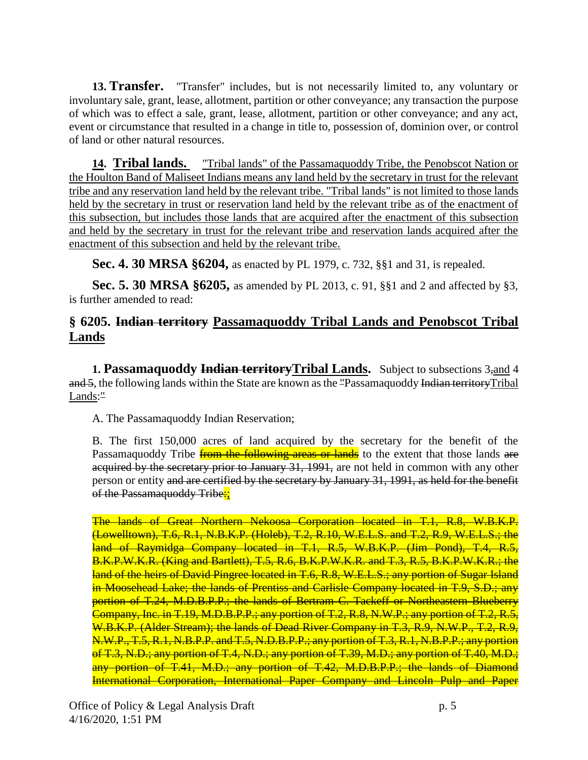**13. Transfer.** "Transfer" includes, but is not necessarily limited to, any voluntary or involuntary sale, grant, lease, allotment, partition or other conveyance; any transaction the purpose of which was to effect a sale, grant, lease, allotment, partition or other conveyance; and any act, event or circumstance that resulted in a change in title to, possession of, dominion over, or control of land or other natural resources.

**14. Tribal lands.** "Tribal lands" of the Passamaquoddy Tribe, the Penobscot Nation or the Houlton Band of Maliseet Indians means any land held by the secretary in trust for the relevant tribe and any reservation land held by the relevant tribe. "Tribal lands" is not limited to those lands held by the secretary in trust or reservation land held by the relevant tribe as of the enactment of this subsection, but includes those lands that are acquired after the enactment of this subsection and held by the secretary in trust for the relevant tribe and reservation lands acquired after the enactment of this subsection and held by the relevant tribe.

**Sec. 4. 30 MRSA §6204,** as enacted by PL 1979, c. 732, §§1 and 31, is repealed.

**Sec. 5. 30 MRSA §6205,** as amended by PL 2013, c. 91, §§1 and 2 and affected by §3, is further amended to read:

# **§ 6205. Indian territory Passamaquoddy Tribal Lands and Penobscot Tribal Lands**

**1. Passamaquoddy <del>Indian territory</del> Tribal Lands.** Subject to subsections 3, and 4 and 5, the following lands within the State are known as the "Passamaquoddy Indian territory Tribal Lands:"

A. The Passamaquoddy Indian Reservation;

B. The first 150,000 acres of land acquired by the secretary for the benefit of the Passamaquoddy Tribe from the following areas or lands to the extent that those lands are acquired by the secretary prior to January 31, 1991, are not held in common with any other person or entity and are certified by the secretary by January 31, 1991, as held for the benefit of the Passamaquoddy Tribe:;

The lands of Great Northern Nekoosa Corporation located in T.1, R.8, W.B.K.P. (Lowelltown), T.6, R.1, N.B.K.P. (Holeb), T.2, R.10, W.E.L.S. and T.2, R.9, W.E.L.S.; the land of Raymidga Company located in T.1, R.5, W.B.K.P. (Jim Pond), T.4, R.5, B.K.P.W.K.R. (King and Bartlett), T.5, R.6, B.K.P.W.K.R. and T.3, R.5, B.K.P.W.K.R.; the land of the heirs of David Pingree located in T.6, R.8, W.E.L.S.; any portion of Sugar Island in Moosehead Lake; the lands of Prentiss and Carlisle Company located in T.9, S.D.; any portion of T.24, M.D.B.P.P.; the lands of Bertram C. Tackeff or Northeastern Blueberry Company, Inc. in T.19, M.D.B.P.P.; any portion of T.2, R.8, N.W.P.; any portion of T.2, R.5, W.B.K.P. (Alder Stream); the lands of Dead River Company in T.3, R.9, N.W.P., T.2, R.9, N.W.P., T.5, R.1, N.B.P.P. and T.5, N.D.B.P.P.; any portion of T.3, R.1, N.B.P.P.; any portion of T.3, N.D.; any portion of T.4, N.D.; any portion of T.39, M.D.; any portion of T.40, M.D.; any portion of T.41, M.D.; any portion of T.42, M.D.B.P.P.; the lands of Diamond International Corporation, International Paper Company and Lincoln Pulp and Paper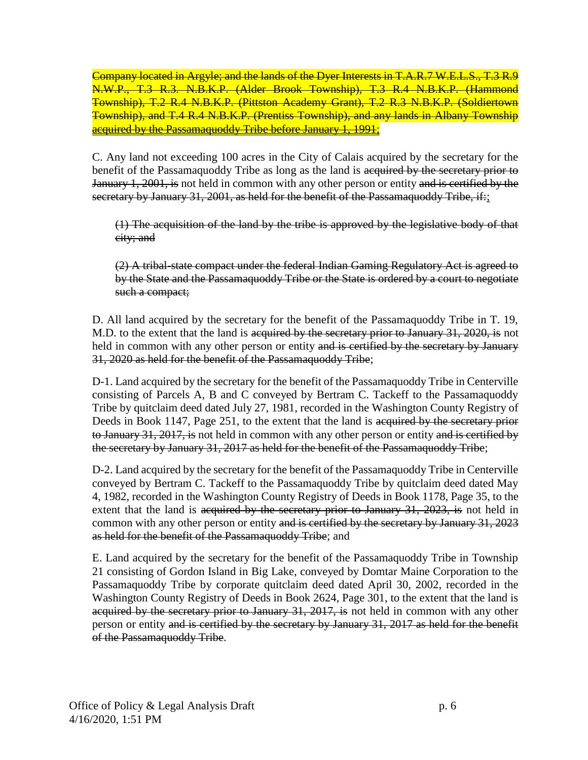Company located in Argyle; and the lands of the Dyer Interests in T.A.R.7 W.E.I. N.W.P., T.3 R.3. N.B.K.P. (Alder Brook Township), T.3 R.4 N.B.K.P. (Hammond Township), T.2 R.4 N.B.K.P. (Pittston Academy Grant), T.2 R.3 N.B.K.P. (Soldiertown Township), and T.4 R.4 N.B.K.P. (Prentiss Township), and any lands in Albany Township acquired by the Passamaquoddy Tribe before January 1, 1991;

C. Any land not exceeding 100 acres in the City of Calais acquired by the secretary for the benefit of the Passamaquoddy Tribe as long as the land is acquired by the secretary prior to January 1, 2001, is not held in common with any other person or entity and is certified by the secretary by January 31, 2001, as held for the benefit of the Passamaquoddy Tribe, if:;

(1) The acquisition of the land by the tribe is approved by the legislative body of that city; and

(2) A tribal-state compact under the federal Indian Gaming Regulatory Act is agreed to by the State and the Passamaquoddy Tribe or the State is ordered by a court to negotiate such a compact;

D. All land acquired by the secretary for the benefit of the Passamaquoddy Tribe in T. 19, M.D. to the extent that the land is acquired by the secretary prior to January 31, 2020, is not held in common with any other person or entity and is certified by the secretary by January 31, 2020 as held for the benefit of the Passamaquoddy Tribe;

D-1. Land acquired by the secretary for the benefit of the Passamaquoddy Tribe in Centerville consisting of Parcels A, B and C conveyed by Bertram C. Tackeff to the Passamaquoddy Tribe by quitclaim deed dated July 27, 1981, recorded in the Washington County Registry of Deeds in Book 1147, Page 251, to the extent that the land is acquired by the secretary prior to January 31, 2017, is not held in common with any other person or entity and is certified by the secretary by January 31, 2017 as held for the benefit of the Passamaquoddy Tribe;

D-2. Land acquired by the secretary for the benefit of the Passamaquoddy Tribe in Centerville conveyed by Bertram C. Tackeff to the Passamaquoddy Tribe by quitclaim deed dated May 4, 1982, recorded in the Washington County Registry of Deeds in Book 1178, Page 35, to the extent that the land is assequired by the secretary prior to January  $31$ ,  $2023$ , is not held in common with any other person or entity and is certified by the secretary by January 31, 2023 as held for the benefit of the Passamaquoddy Tribe; and

E. Land acquired by the secretary for the benefit of the Passamaquoddy Tribe in Township 21 consisting of Gordon Island in Big Lake, conveyed by Domtar Maine Corporation to the Passamaquoddy Tribe by corporate quitclaim deed dated April 30, 2002, recorded in the Washington County Registry of Deeds in Book 2624, Page 301, to the extent that the land is acquired by the secretary prior to January 31, 2017, is not held in common with any other person or entity and is certified by the secretary by January 31, 2017 as held for the benefit of the Passamaquoddy Tribe.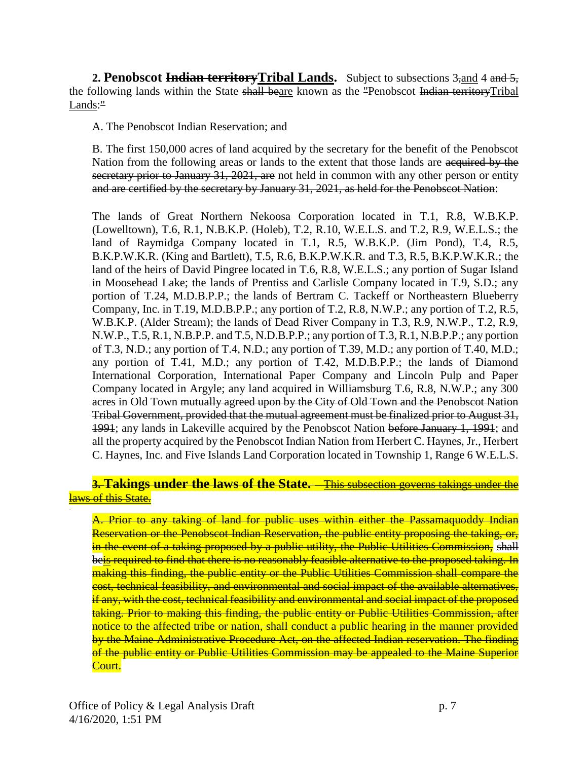**2. Penobscot Indian territoryTribal Lands.** Subject to subsections 3,and 4 and 5, the following lands within the State shall beare known as the "Penobscot Indian territoryTribal Lands:"

A. The Penobscot Indian Reservation; and

B. The first 150,000 acres of land acquired by the secretary for the benefit of the Penobscot Nation from the following areas or lands to the extent that those lands are acquired by the secretary prior to January 31, 2021, are not held in common with any other person or entity and are certified by the secretary by January 31, 2021, as held for the Penobscot Nation:

The lands of Great Northern Nekoosa Corporation located in T.1, R.8, W.B.K.P. (Lowelltown), T.6, R.1, N.B.K.P. (Holeb), T.2, R.10, W.E.L.S. and T.2, R.9, W.E.L.S.; the land of Raymidga Company located in T.1, R.5, W.B.K.P. (Jim Pond), T.4, R.5, B.K.P.W.K.R. (King and Bartlett), T.5, R.6, B.K.P.W.K.R. and T.3, R.5, B.K.P.W.K.R.; the land of the heirs of David Pingree located in T.6, R.8, W.E.L.S.; any portion of Sugar Island in Moosehead Lake; the lands of Prentiss and Carlisle Company located in T.9, S.D.; any portion of T.24, M.D.B.P.P.; the lands of Bertram C. Tackeff or Northeastern Blueberry Company, Inc. in T.19, M.D.B.P.P.; any portion of T.2, R.8, N.W.P.; any portion of T.2, R.5, W.B.K.P. (Alder Stream); the lands of Dead River Company in T.3, R.9, N.W.P., T.2, R.9, N.W.P., T.5, R.1, N.B.P.P. and T.5, N.D.B.P.P.; any portion of T.3, R.1, N.B.P.P.; any portion of T.3, N.D.; any portion of T.4, N.D.; any portion of T.39, M.D.; any portion of T.40, M.D.; any portion of T.41, M.D.; any portion of T.42, M.D.B.P.P.; the lands of Diamond International Corporation, International Paper Company and Lincoln Pulp and Paper Company located in Argyle; any land acquired in Williamsburg T.6, R.8, N.W.P.; any 300 acres in Old Town mutually agreed upon by the City of Old Town and the Penobscot Nation Tribal Government, provided that the mutual agreement must be finalized prior to August 31, 1991; any lands in Lakeville acquired by the Penobscot Nation before January 1, 1991; and all the property acquired by the Penobscot Indian Nation from Herbert C. Haynes, Jr., Herbert C. Haynes, Inc. and Five Islands Land Corporation located in Township 1, Range 6 W.E.L.S.

### **3. Takings under the laws of the State.** This subsection governs takings under the laws of this State.

A. Prior to any taking of land for public uses within either the Passamaquoddy Indian Reservation or the Penobscot Indian Reservation, the public entity proposing the taking, or, in the event of a taking proposed by a public utility, the Public Utilities Commission, shall beis required to find that there is no reasonably feasible alternative to the proposed taking. In making this finding, the public entity or the Public Utilities Commission shall compare the cost, technical feasibility, and environmental and social impact of the available alternatives, if any, with the cost, technical feasibility and environmental and social impact of the proposed taking. Prior to making this finding, the public entity or Public Utilities Commission, after notice to the affected tribe or nation, shall conduct a public hearing in the manner provided by the Maine Administrative Procedure Act, on the affected Indian reservation. The finding of the public entity or Public Utilities Commission may be appealed to the Maine Superior Court.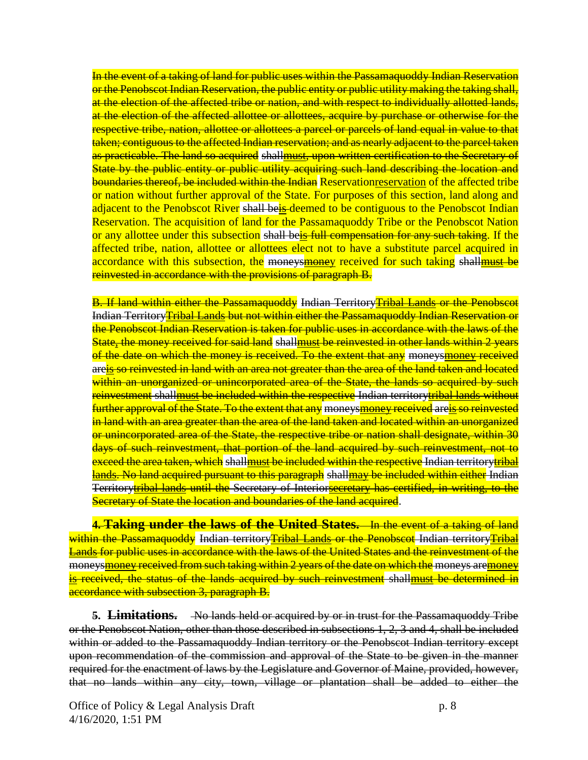In the event of a taking of land for public uses within the Passamaquoddy Indian Reservation or the Penobscot Indian Reservation, the public entity or public utility making the taking shall, at the election of the affected tribe or nation, and with respect to individually allotted lands, at the election of the affected allottee or allottees, acquire by purchase or otherwise for the respective tribe, nation, allottee or allottees a parcel or parcels of land equal in value to that taken; contiguous to the affected Indian reservation; and as nearly adjacent to the parcel taken as practicable. The land so acquired shallmust, upon written certification to the Secretary of State by the public entity or public utility acquiring such land describing the location and boundaries thereof, be included within the Indian Reservationreservation of the affected tribe or nation without further approval of the State. For purposes of this section, land along and adjacent to the Penobscot River shall beis deemed to be contiguous to the Penobscot Indian Reservation. The acquisition of land for the Passamaquoddy Tribe or the Penobscot Nation or any allottee under this subsection shall beis full compensation for any such taking. If the affected tribe, nation, allottee or allottees elect not to have a substitute parcel acquired in accordance with this subsection, the moneysmoney received for such taking shall must be reinvested in accordance with the provisions of paragraph B.

B. If land within either the Passamaquoddy Indian TerritoryTribal Lands or the Penobscot Indian TerritoryTribal Lands but not within either the Passamaquoddy Indian Reservation or the Penobscot Indian Reservation is taken for public uses in accordance with the laws of the State, the money received for said land shall must be reinvested in other lands within 2 years of the date on which the money is received. To the extent that any moneysmoney received areis so reinvested in land with an area not greater than the area of the land taken and located within an unorganized or unincorporated area of the State, the lands so acquired by such reinvestment shallmust be included within the respective Indian territorytribal lands without further approval of the State. To the extent that any moneysmoney received areis so reinvested in land with an area greater than the area of the land taken and located within an unorganized or unincorporated area of the State, the respective tribe or nation shall designate, within 30 days of such reinvestment, that portion of the land acquired by such reinvestment, not to exceed the area taken, which shallmust be included within the respective Indian territorytribal lands. No land acquired pursuant to this paragraph shallmay be included within either Indian Territorytribal lands until the Secretary of Interiorsecretary has certified, in writing, to the Secretary of State the location and boundaries of the land acquired.

**4. Taking under the laws of the United States.** In the event of a taking of land within the Passamaquoddy Indian territoryTribal Lands or the Penobscot Indian territoryTribal Lands for public uses in accordance with the laws of the United States and the reinvestment of the moneys money received from such taking within 2 years of the date on which the moneys aremoney is received, the status of the lands acquired by such reinvestment shallmust be determined in accordance with subsection 3, paragraph B.

**5. Limitations.** No lands held or acquired by or in trust for the Passamaquoddy Tribe or the Penobscot Nation, other than those described in subsections 1, 2, 3 and 4, shall be included within or added to the Passamaquoddy Indian territory or the Penobscot Indian territory except upon recommendation of the commission and approval of the State to be given in the manner required for the enactment of laws by the Legislature and Governor of Maine, provided, however, that no lands within any city, town, village or plantation shall be added to either the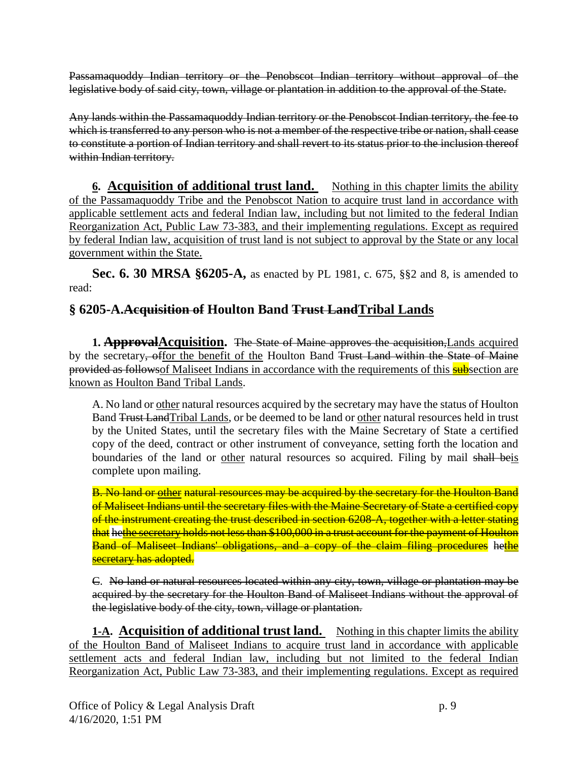Passamaquoddy Indian territory or the Penobscot Indian territory without approval of the legislative body of said city, town, village or plantation in addition to the approval of the State.

Any lands within the Passamaquoddy Indian territory or the Penobscot Indian territory, the fee to which is transferred to any person who is not a member of the respective tribe or nation, shall cease to constitute a portion of Indian territory and shall revert to its status prior to the inclusion thereof within Indian territory.

**6. Acquisition of additional trust land.** Nothing in this chapter limits the ability of the Passamaquoddy Tribe and the Penobscot Nation to acquire trust land in accordance with applicable settlement acts and federal Indian law, including but not limited to the federal Indian Reorganization Act, Public Law 73-383, and their implementing regulations. Except as required by federal Indian law, acquisition of trust land is not subject to approval by the State or any local government within the State.

**Sec. 6. 30 MRSA §6205-A,** as enacted by PL 1981, c. 675, §§2 and 8, is amended to read:

# **§ 6205-A.Acquisition of Houlton Band Trust LandTribal Lands**

**1. ApprovalAcquisition.** The State of Maine approves the acquisition,Lands acquired by the secretary, offor the benefit of the Houlton Band Trust Land within the State of Maine provided as follows of Maliseet Indians in accordance with the requirements of this **sub**section are known as Houlton Band Tribal Lands.

A. No land or other natural resources acquired by the secretary may have the status of Houlton Band Trust LandTribal Lands, or be deemed to be land or other natural resources held in trust by the United States, until the secretary files with the Maine Secretary of State a certified copy of the deed, contract or other instrument of conveyance, setting forth the location and boundaries of the land or other natural resources so acquired. Filing by mail shall beis complete upon mailing.

B. No land or other natural resources may be acquired by the secretary for the Houlton Band of Maliseet Indians until the secretary files with the Maine Secretary of State a certified copy of the instrument creating the trust described in section 6208-A, together with a letter stating that hethe secretary holds not less than \$100,000 in a trust account for the payment of Houlton Band of Maliseet Indians' obligations, and a copy of the claim filing procedures hethe secretary has adopted.

C. No land or natural resources located within any city, town, village or plantation may be acquired by the secretary for the Houlton Band of Maliseet Indians without the approval of the legislative body of the city, town, village or plantation.

**1-A. Acquisition of additional trust land.** Nothing in this chapter limits the ability of the Houlton Band of Maliseet Indians to acquire trust land in accordance with applicable settlement acts and federal Indian law, including but not limited to the federal Indian Reorganization Act, Public Law 73-383, and their implementing regulations. Except as required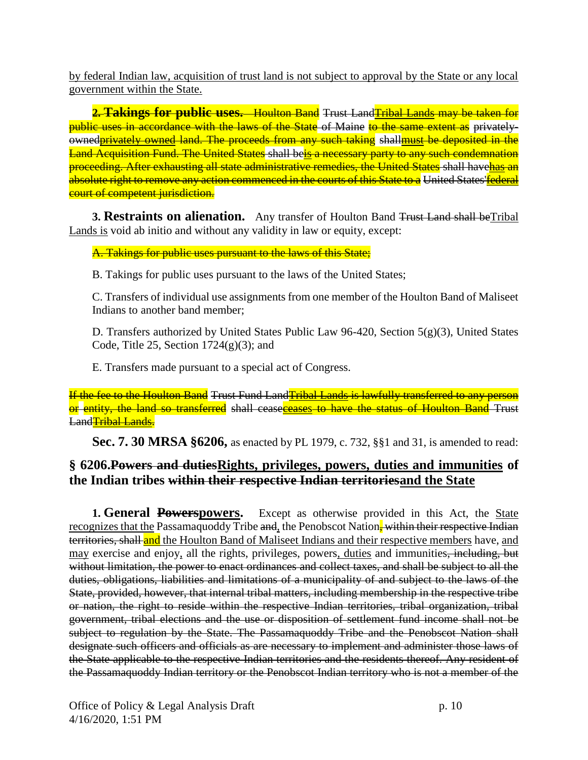by federal Indian law, acquisition of trust land is not subject to approval by the State or any local government within the State.

**2. Takings for public uses.** Houlton Band Trust LandTribal Lands may be taken for public uses in accordance with the laws of the State of Maine to the same extent as privatelyowned privately owned land. The proceeds from any such taking shall must be deposited in the Land Acquisition Fund. The United States shall beis a necessary party to any such condemnation proceeding. After exhausting all state administrative remedies, the United States shall havehas an absolute right to remove any action commenced in the courts of this State to a United States'federal court of competent jurisdiction.

**3. Restraints on alienation.** Any transfer of Houlton Band Trust Land shall be Tribal Lands is void ab initio and without any validity in law or equity, except:

A. Takings for public uses pursuant to the laws of this State;

B. Takings for public uses pursuant to the laws of the United States;

C. Transfers of individual use assignments from one member of the Houlton Band of Maliseet Indians to another band member;

D. Transfers authorized by United States Public Law 96-420, Section 5(g)(3), United States Code, Title 25, Section  $1724(g)(3)$ ; and

E. Transfers made pursuant to a special act of Congress.

If the fee to the Houlton Band Trust Fund LandTribal Lands is lawfully transferred to any person or entity, the land so transferred shall ceaseceases to have the status of Houlton Band Trust LandTribal Lands.

**Sec. 7. 30 MRSA §6206,** as enacted by PL 1979, c. 732, §§1 and 31, is amended to read:

# **§ 6206.Powers and dutiesRights, privileges, powers, duties and immunities of the Indian tribes within their respective Indian territoriesand the State**

**1. General Powerspowers.** Except as otherwise provided in this Act, the State recognizes that the Passamaquoddy Tribe and, the Penobscot Nation, within their respective Indian territories, shall and the Houlton Band of Maliseet Indians and their respective members have, and may exercise and enjoy, all the rights, privileges, powers, duties and immunities<del>, including, but</del> without limitation, the power to enact ordinances and collect taxes, and shall be subject to all the duties, obligations, liabilities and limitations of a municipality of and subject to the laws of the State, provided, however, that internal tribal matters, including membership in the respective tribe or nation, the right to reside within the respective Indian territories, tribal organization, tribal government, tribal elections and the use or disposition of settlement fund income shall not be subject to regulation by the State. The Passamaquoddy Tribe and the Penobscot Nation shall designate such officers and officials as are necessary to implement and administer those laws of the State applicable to the respective Indian territories and the residents thereof. Any resident of the Passamaquoddy Indian territory or the Penobscot Indian territory who is not a member of the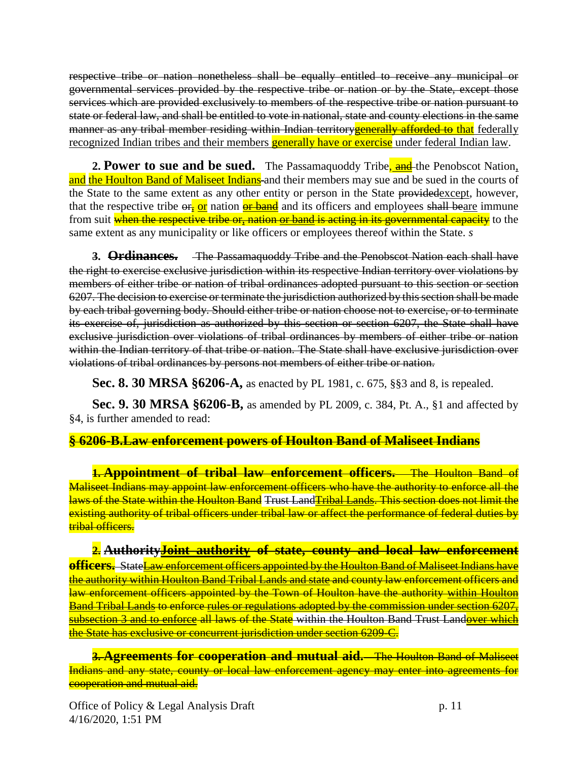respective tribe or nation nonetheless shall be equally entitled to receive any municipal or governmental services provided by the respective tribe or nation or by the State, except those services which are provided exclusively to members of the respective tribe or nation pursuant to state or federal law, and shall be entitled to vote in national, state and county elections in the same manner as any tribal member residing within Indian territory generally afforded to that federally recognized Indian tribes and their members generally have or exercise under federal Indian law.

2. **Power to sue and be sued.** The Passamaquoddy Tribe, and the Penobscot Nation, and the Houlton Band of Maliseet Indians-and their members may sue and be sued in the courts of the State to the same extent as any other entity or person in the State provided except, however, that the respective tribe or, or nation or band and its officers and employees shall beare immune from suit when the respective tribe or, nation or band is acting in its governmental capacity to the same extent as any municipality or like officers or employees thereof within the State. *s*

**3. Ordinances.** The Passamaquoddy Tribe and the Penobscot Nation each shall have the right to exercise exclusive jurisdiction within its respective Indian territory over violations by members of either tribe or nation of tribal ordinances adopted pursuant to this section or section 6207. The decision to exercise or terminate the jurisdiction authorized by this section shall be made by each tribal governing body. Should either tribe or nation choose not to exercise, or to terminate its exercise of, jurisdiction as authorized by this section or section 6207, the State shall have exclusive jurisdiction over violations of tribal ordinances by members of either tribe or nation within the Indian territory of that tribe or nation. The State shall have exclusive jurisdiction over violations of tribal ordinances by persons not members of either tribe or nation.

**Sec. 8. 30 MRSA §6206-A,** as enacted by PL 1981, c. 675, §§3 and 8, is repealed.

**Sec. 9. 30 MRSA §6206-B,** as amended by PL 2009, c. 384, Pt. A., §1 and affected by §4, is further amended to read:

## **§ 6206-B.Law enforcement powers of Houlton Band of Maliseet Indians**

**1. Appointment of tribal law enforcement officers.** The Houlton Band of Maliseet Indians may appoint law enforcement officers who have the authority to enforce all the laws of the State within the Houlton Band Trust LandTribal Lands. This section does not limit the existing authority of tribal officers under tribal law or affect the performance of federal duties by tribal officers.

**2. AuthorityJoint authority of state, county and local law enforcement officers.** StateLaw enforcement officers appointed by the Houlton Band of Maliseet Indians have the authority within Houlton Band Tribal Lands and state and county law enforcement officers and law enforcement officers appointed by the Town of Houlton have the authority within Houlton Band Tribal Lands to enforce rules or regulations adopted by the commission under section 6207, subsection 3 and to enforce all laws of the State within the Houlton Band Trust Landover which the State has exclusive or concurrent jurisdiction under section 6209-C.

**3. Agreements for cooperation and mutual aid.** The Houlton Band of Maliseet Indians and any state, county or local law enforcement agency may enter into agreements for cooperation and mutual aid.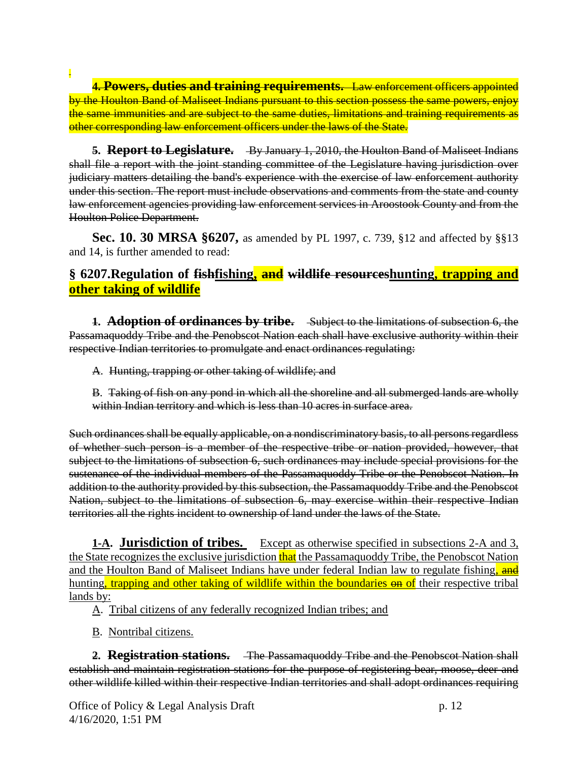**4. Powers, duties and training requirements.** Law enforcement officers appointed by the Houlton Band of Maliseet Indians pursuant to this section possess the same powers, enjoy the same immunities and are subject to the same duties, limitations and training requirements as other corresponding law enforcement officers under the laws of the State.

**5. Report to Legislature.** By January 1, 2010, the Houlton Band of Maliseet Indians shall file a report with the joint standing committee of the Legislature having jurisdiction over judiciary matters detailing the band's experience with the exercise of law enforcement authority under this section. The report must include observations and comments from the state and county law enforcement agencies providing law enforcement services in Aroostook County and from the Houlton Police Department.

**Sec. 10. 30 MRSA §6207,** as amended by PL 1997, c. 739, §12 and affected by §§13 and 14, is further amended to read:

# **§ 6207.Regulation of fishfishing, and wildlife resourceshunting, trapping and other taking of wildlife**

**1. Adoption of ordinances by tribe.** Subject to the limitations of subsection 6, the Passamaquoddy Tribe and the Penobscot Nation each shall have exclusive authority within their respective Indian territories to promulgate and enact ordinances regulating:

A. Hunting, trapping or other taking of wildlife; and

B. Taking of fish on any pond in which all the shoreline and all submerged lands are wholly within Indian territory and which is less than 10 acres in surface area.

Such ordinances shall be equally applicable, on a nondiscriminatory basis, to all persons regardless of whether such person is a member of the respective tribe or nation provided, however, that subject to the limitations of subsection 6, such ordinances may include special provisions for the sustenance of the individual members of the Passamaquoddy Tribe or the Penobscot Nation. In addition to the authority provided by this subsection, the Passamaquoddy Tribe and the Penobscot Nation, subject to the limitations of subsection 6, may exercise within their respective Indian territories all the rights incident to ownership of land under the laws of the State.

**1-A. Jurisdiction of tribes.** Except as otherwise specified in subsections 2-A and 3, the State recognizes the exclusive jurisdiction that the Passamaquoddy Tribe, the Penobscot Nation and the Houlton Band of Maliseet Indians have under federal Indian law to regulate fishing, and hunting, trapping and other taking of wildlife within the boundaries on of their respective tribal lands by:

A. Tribal citizens of any federally recognized Indian tribes; and

B. Nontribal citizens.

**2. Registration stations.** The Passamaquoddy Tribe and the Penobscot Nation shall establish and maintain registration stations for the purpose of registering bear, moose, deer and other wildlife killed within their respective Indian territories and shall adopt ordinances requiring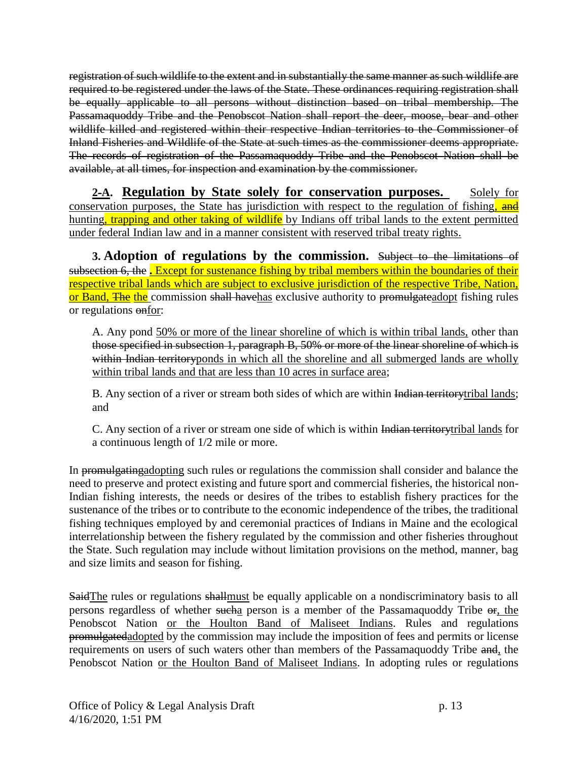registration of such wildlife to the extent and in substantially the same manner as such wildlife are required to be registered under the laws of the State. These ordinances requiring registration shall be equally applicable to all persons without distinction based on tribal membership. The Passamaquoddy Tribe and the Penobscot Nation shall report the deer, moose, bear and other wildlife killed and registered within their respective Indian territories to the Commissioner of Inland Fisheries and Wildlife of the State at such times as the commissioner deems appropriate. The records of registration of the Passamaquoddy Tribe and the Penobscot Nation shall be available, at all times, for inspection and examination by the commissioner.

**2-A. Regulation by State solely for conservation purposes.** Solely for conservation purposes, the State has jurisdiction with respect to the regulation of fishing, and hunting, trapping and other taking of wildlife by Indians off tribal lands to the extent permitted under federal Indian law and in a manner consistent with reserved tribal treaty rights.

**3. Adoption of regulations by the commission.** Subject to the limitations of subsection 6, the **.** Except for sustenance fishing by tribal members within the boundaries of their respective tribal lands which are subject to exclusive jurisdiction of the respective Tribe, Nation, or Band, The the commission shall have has exclusive authority to promulgated adopt fishing rules or regulations onfor:

A. Any pond 50% or more of the linear shoreline of which is within tribal lands, other than those specified in subsection 1, paragraph B, 50% or more of the linear shoreline of which is within Indian territoryponds in which all the shoreline and all submerged lands are wholly within tribal lands and that are less than 10 acres in surface area;

B. Any section of a river or stream both sides of which are within Indian territorytribal lands; and

C. Any section of a river or stream one side of which is within Indian territorytribal lands for a continuous length of 1/2 mile or more.

In promulgatingadopting such rules or regulations the commission shall consider and balance the need to preserve and protect existing and future sport and commercial fisheries, the historical non-Indian fishing interests, the needs or desires of the tribes to establish fishery practices for the sustenance of the tribes or to contribute to the economic independence of the tribes, the traditional fishing techniques employed by and ceremonial practices of Indians in Maine and the ecological interrelationship between the fishery regulated by the commission and other fisheries throughout the State. Such regulation may include without limitation provisions on the method, manner, bag and size limits and season for fishing.

SaidThe rules or regulations shallmust be equally applicable on a nondiscriminatory basis to all persons regardless of whether sucha person is a member of the Passamaquoddy Tribe or, the Penobscot Nation or the Houlton Band of Maliseet Indians. Rules and regulations promulgatedadopted by the commission may include the imposition of fees and permits or license requirements on users of such waters other than members of the Passamaquoddy Tribe and, the Penobscot Nation or the Houlton Band of Maliseet Indians. In adopting rules or regulations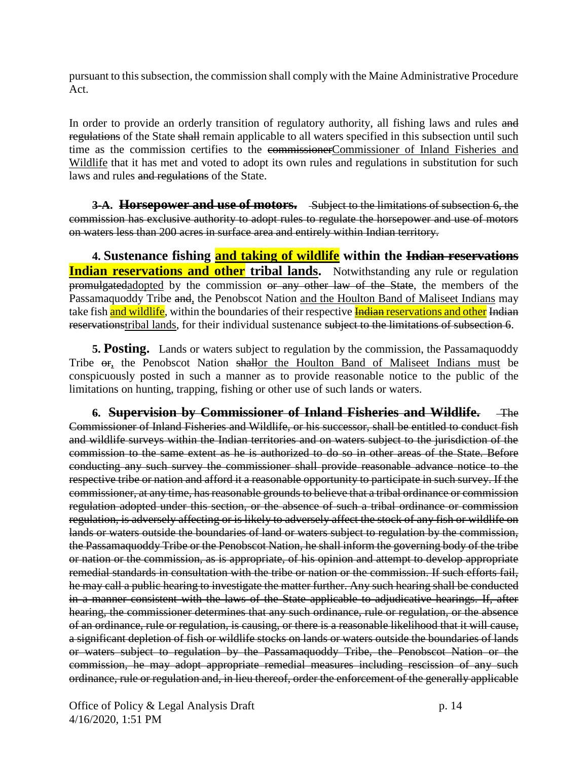pursuant to this subsection, the commission shall comply with the Maine Administrative Procedure Act.

In order to provide an orderly transition of regulatory authority, all fishing laws and rules and regulations of the State shall remain applicable to all waters specified in this subsection until such time as the commission certifies to the commissionerCommissioner of Inland Fisheries and Wildlife that it has met and voted to adopt its own rules and regulations in substitution for such laws and rules and regulations of the State.

**3-A. Horsepower and use of motors.** Subject to the limitations of subsection 6, the commission has exclusive authority to adopt rules to regulate the horsepower and use of motors on waters less than 200 acres in surface area and entirely within Indian territory.

**4. Sustenance fishing and taking of wildlife within the Indian reservations Indian reservations and other tribal lands.** Notwithstanding any rule or regulation promulgatedadopted by the commission or any other law of the State, the members of the Passamaquoddy Tribe and, the Penobscot Nation and the Houlton Band of Maliseet Indians may take fish and wildlife, within the boundaries of their respective **Indian reservations and other Indian** reservationstribal lands, for their individual sustenance subject to the limitations of subsection 6.

**5. Posting.** Lands or waters subject to regulation by the commission, the Passamaquoddy Tribe  $\Theta$ <sub>1</sub>, the Penobscot Nation shaller the Houlton Band of Maliseet Indians must be conspicuously posted in such a manner as to provide reasonable notice to the public of the limitations on hunting, trapping, fishing or other use of such lands or waters.

**6. Supervision by Commissioner of Inland Fisheries and Wildlife.** The Commissioner of Inland Fisheries and Wildlife, or his successor, shall be entitled to conduct fish and wildlife surveys within the Indian territories and on waters subject to the jurisdiction of the commission to the same extent as he is authorized to do so in other areas of the State. Before conducting any such survey the commissioner shall provide reasonable advance notice to the respective tribe or nation and afford it a reasonable opportunity to participate in such survey. If the commissioner, at any time, has reasonable grounds to believe that a tribal ordinance or commission regulation adopted under this section, or the absence of such a tribal ordinance or commission regulation, is adversely affecting or is likely to adversely affect the stock of any fish or wildlife on lands or waters outside the boundaries of land or waters subject to regulation by the commission, the Passamaquoddy Tribe or the Penobscot Nation, he shall inform the governing body of the tribe or nation or the commission, as is appropriate, of his opinion and attempt to develop appropriate remedial standards in consultation with the tribe or nation or the commission. If such efforts fail, he may call a public hearing to investigate the matter further. Any such hearing shall be conducted in a manner consistent with the laws of the State applicable to adjudicative hearings. If, after hearing, the commissioner determines that any such ordinance, rule or regulation, or the absence of an ordinance, rule or regulation, is causing, or there is a reasonable likelihood that it will cause, a significant depletion of fish or wildlife stocks on lands or waters outside the boundaries of lands or waters subject to regulation by the Passamaquoddy Tribe, the Penobscot Nation or the commission, he may adopt appropriate remedial measures including rescission of any such ordinance, rule or regulation and, in lieu thereof, order the enforcement of the generally applicable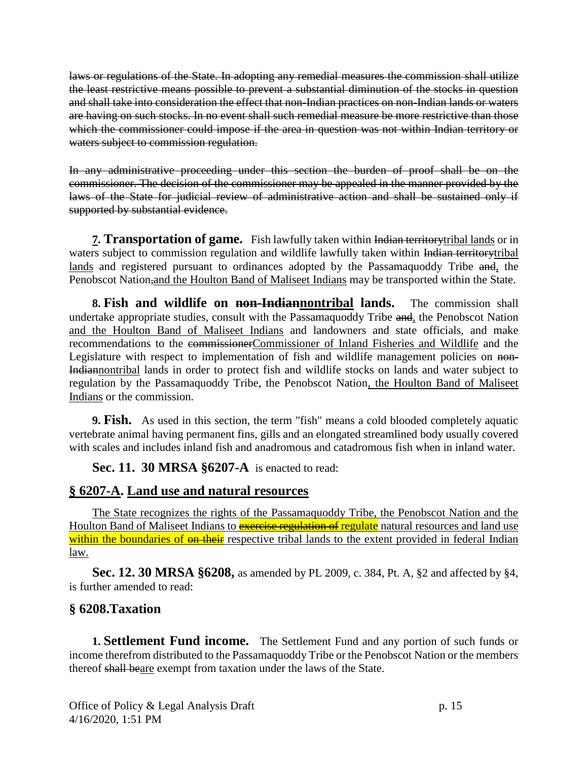laws or regulations of the State. In adopting any remedial measures the commission shall utilize the least restrictive means possible to prevent a substantial diminution of the stocks in question and shall take into consideration the effect that non-Indian practices on non-Indian lands or waters are having on such stocks. In no event shall such remedial measure be more restrictive than those which the commissioner could impose if the area in question was not within Indian territory or waters subject to commission regulation.

In any administrative proceeding under this section the burden of proof shall be on the commissioner. The decision of the commissioner may be appealed in the manner provided by the laws of the State for judicial review of administrative action and shall be sustained only if supported by substantial evidence.

**7. Transportation of game.** Fish lawfully taken within Indian territorytribal lands or in waters subject to commission regulation and wildlife lawfully taken within Indian territorytribal lands and registered pursuant to ordinances adopted by the Passamaquoddy Tribe and, the Penobscot Nation, and the Houlton Band of Maliseet Indians may be transported within the State.

**8. Fish and wildlife on non-Indiannontribal lands.** The commission shall undertake appropriate studies, consult with the Passamaguoddy Tribe and, the Penobscot Nation and the Houlton Band of Maliseet Indians and landowners and state officials, and make recommendations to the commissionerCommissioner of Inland Fisheries and Wildlife and the Legislature with respect to implementation of fish and wildlife management policies on non-Indiannontribal lands in order to protect fish and wildlife stocks on lands and water subject to regulation by the Passamaquoddy Tribe, the Penobscot Nation, the Houlton Band of Maliseet Indians or the commission.

**9. Fish.** As used in this section, the term "fish" means a cold blooded completely aquatic vertebrate animal having permanent fins, gills and an elongated streamlined body usually covered with scales and includes inland fish and anadromous and catadromous fish when in inland water.

**Sec. 11. 30 MRSA §6207-A** is enacted to read:

## **§ 6207-A. Land use and natural resources**

The State recognizes the rights of the Passamaquoddy Tribe, the Penobscot Nation and the Houlton Band of Maliseet Indians to **exercise regulation of regulate** natural resources and land use within the boundaries of on their respective tribal lands to the extent provided in federal Indian law.

**Sec. 12. 30 MRSA §6208,** as amended by PL 2009, c. 384, Pt. A, §2 and affected by §4, is further amended to read:

# **§ 6208.Taxation**

**1. Settlement Fund income.** The Settlement Fund and any portion of such funds or income therefrom distributed to the Passamaquoddy Tribe or the Penobscot Nation or the members thereof shall beare exempt from taxation under the laws of the State.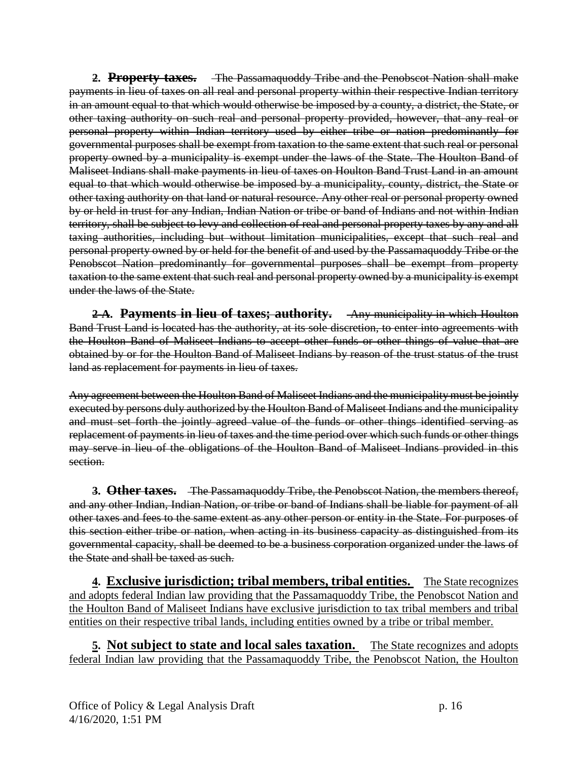**2. Property taxes.** The Passamaquoddy Tribe and the Penobscot Nation shall make payments in lieu of taxes on all real and personal property within their respective Indian territory in an amount equal to that which would otherwise be imposed by a county, a district, the State, or other taxing authority on such real and personal property provided, however, that any real or personal property within Indian territory used by either tribe or nation predominantly for governmental purposes shall be exempt from taxation to the same extent that such real or personal property owned by a municipality is exempt under the laws of the State. The Houlton Band of Maliseet Indians shall make payments in lieu of taxes on Houlton Band Trust Land in an amount equal to that which would otherwise be imposed by a municipality, county, district, the State or other taxing authority on that land or natural resource. Any other real or personal property owned by or held in trust for any Indian, Indian Nation or tribe or band of Indians and not within Indian territory, shall be subject to levy and collection of real and personal property taxes by any and all taxing authorities, including but without limitation municipalities, except that such real and personal property owned by or held for the benefit of and used by the Passamaquoddy Tribe or the Penobscot Nation predominantly for governmental purposes shall be exempt from property taxation to the same extent that such real and personal property owned by a municipality is exempt under the laws of the State.

2-A. Payments in lieu of taxes; authority. Any municipality in which Houlton Band Trust Land is located has the authority, at its sole discretion, to enter into agreements with the Houlton Band of Maliseet Indians to accept other funds or other things of value that are obtained by or for the Houlton Band of Maliseet Indians by reason of the trust status of the trust land as replacement for payments in lieu of taxes.

Any agreement between the Houlton Band of Maliseet Indians and the municipality must be jointly executed by persons duly authorized by the Houlton Band of Maliseet Indians and the municipality and must set forth the jointly agreed value of the funds or other things identified serving as replacement of payments in lieu of taxes and the time period over which such funds or other things may serve in lieu of the obligations of the Houlton Band of Maliseet Indians provided in this section.

**3. Other taxes.** The Passamaquoddy Tribe, the Penobscot Nation, the members thereof, and any other Indian, Indian Nation, or tribe or band of Indians shall be liable for payment of all other taxes and fees to the same extent as any other person or entity in the State. For purposes of this section either tribe or nation, when acting in its business capacity as distinguished from its governmental capacity, shall be deemed to be a business corporation organized under the laws of the State and shall be taxed as such.

**4. Exclusive jurisdiction; tribal members, tribal entities.** The State recognizes and adopts federal Indian law providing that the Passamaquoddy Tribe, the Penobscot Nation and the Houlton Band of Maliseet Indians have exclusive jurisdiction to tax tribal members and tribal entities on their respective tribal lands, including entities owned by a tribe or tribal member.

**5. Not subject to state and local sales taxation.** The State recognizes and adopts federal Indian law providing that the Passamaquoddy Tribe, the Penobscot Nation, the Houlton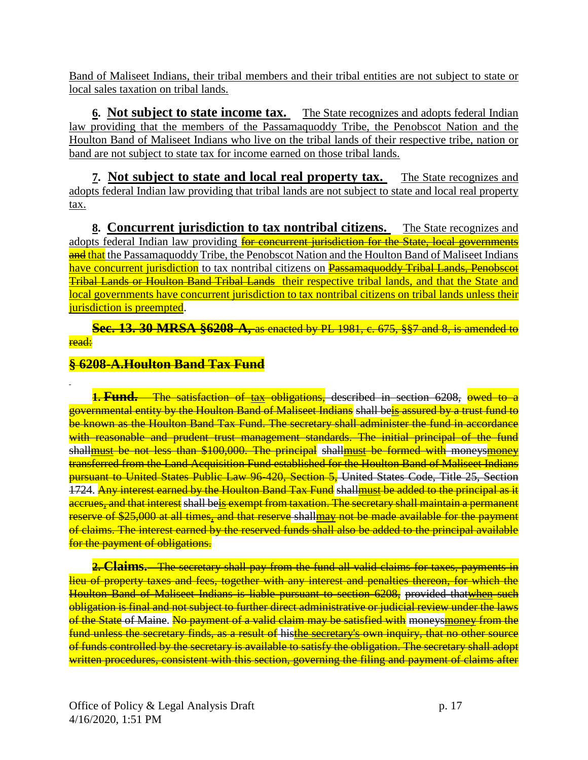Band of Maliseet Indians, their tribal members and their tribal entities are not subject to state or local sales taxation on tribal lands.

**6. Not subject to state income tax.** The State recognizes and adopts federal Indian law providing that the members of the Passamaquoddy Tribe, the Penobscot Nation and the Houlton Band of Maliseet Indians who live on the tribal lands of their respective tribe, nation or band are not subject to state tax for income earned on those tribal lands.

**7. Not subject to state and local real property tax.** The State recognizes and adopts federal Indian law providing that tribal lands are not subject to state and local real property tax.

**8. Concurrent jurisdiction to tax nontribal citizens.** The State recognizes and adopts federal Indian law providing for concurrent jurisdiction for the State, local governments and that the Passamaquoddy Tribe, the Penobscot Nation and the Houlton Band of Maliseet Indians have concurrent jurisdiction to tax nontribal citizens on Passamaquoddy Tribal Lands, Penobscot Tribal Lands or Houlton Band Tribal Lands their respective tribal lands, and that the State and local governments have concurrent jurisdiction to tax nontribal citizens on tribal lands unless their jurisdiction is preempted.

**Sec. 13. 30 MRSA §6208-A,** as enacted by PL 1981, c. 675, §§7 and 8, is amended to read:

## **§ 6208-A.Houlton Band Tax Fund**

**1. Fund.** The satisfaction of tax obligations, described in section 6208, owed to a governmental entity by the Houlton Band of Maliseet Indians shall beis assured by a trust fund to be known as the Houlton Band Tax Fund. The secretary shall administer the fund in accordance with reasonable and prudent trust management standards. The initial principal of the fund shallmust be not less than \$100,000. The principal shallmust be formed with moneysmoney transferred from the Land Acquisition Fund established for the Houlton Band of Maliseet Indians pursuant to United States Public Law 96-420, Section 5, United States Code, Title 25, Section 1724. Any interest earned by the Houlton Band Tax Fund shall must be added to the principal as it accrues, and that interest shall beis exempt from taxation. The secretary shall maintain a permanent reserve of \$25,000 at all times, and that reserve shallmay not be made available for the payment of claims. The interest earned by the reserved funds shall also be added to the principal available for the payment of obligations.

**2. Claims.** The secretary shall pay from the fund all valid claims for taxes, payments in lieu of property taxes and fees, together with any interest and penalties thereon, for which the Houlton Band of Maliseet Indians is liable pursuant to section 6208, provided that when such obligation is final and not subject to further direct administrative or judicial review under the laws of the State of Maine. No payment of a valid claim may be satisfied with moneysmoney from the fund unless the secretary finds, as a result of histhe secretary's own inquiry, that no other source of funds controlled by the secretary is available to satisfy the obligation. The secretary shall adopt written procedures, consistent with this section, governing the filing and payment of claims after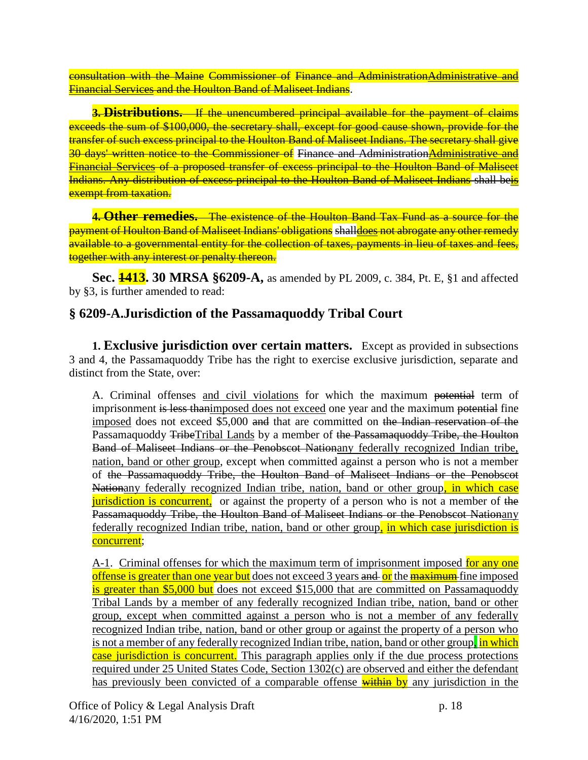consultation with the Maine Commissioner of Finance and AdministrationAdministrative and Financial Services and the Houlton Band of Maliseet Indians.

**3. Distributions.** If the unencumbered principal available for the payment of claims exceeds the sum of \$100,000, the secretary shall, except for good cause shown, provide for the transfer of such excess principal to the Houlton Band of Maliseet Indians. The secretary shall give 30 days' written notice to the Commissioner of Finance and AdministrationAdministrative and Financial Services of a proposed transfer of excess principal to the Houlton Band of Maliseet Indians. Any distribution of excess principal to the Houlton Band of Maliseet Indians shall beis exempt from taxation.

**4. Other remedies.** The existence of the Houlton Band Tax Fund as a source for the payment of Houlton Band of Maliseet Indians' obligations shalldoes not abrogate any other remedy available to a governmental entity for the collection of taxes, payments in lieu of taxes and fees, together with any interest or penalty thereon.

**Sec. 1413. 30 MRSA §6209-A,** as amended by PL 2009, c. 384, Pt. E, §1 and affected by §3, is further amended to read:

# **§ 6209-A.Jurisdiction of the Passamaquoddy Tribal Court**

**1. Exclusive jurisdiction over certain matters.** Except as provided in subsections 3 and 4, the Passamaquoddy Tribe has the right to exercise exclusive jurisdiction, separate and distinct from the State, over:

A. Criminal offenses and civil violations for which the maximum potential term of imprisonment is less than imposed does not exceed one year and the maximum potential fine imposed does not exceed \$5,000 and that are committed on the Indian reservation of the Passamaquoddy TribeTribal Lands by a member of the Passamaquoddy Tribe, the Houlton Band of Maliseet Indians or the Penobscot Nationany federally recognized Indian tribe, nation, band or other group, except when committed against a person who is not a member of the Passamaquoddy Tribe, the Houlton Band of Maliseet Indians or the Penobscot Nationany federally recognized Indian tribe, nation, band or other group, in which case jurisdiction is concurrent, or against the property of a person who is not a member of the Passamaquoddy Tribe, the Houlton Band of Maliseet Indians or the Penobscot Nationany federally recognized Indian tribe, nation, band or other group, in which case jurisdiction is concurrent;

A-1. Criminal offenses for which the maximum term of imprisonment imposed for any one offense is greater than one year but does not exceed 3 years and or the maximum fine imposed is greater than \$5,000 but does not exceed \$15,000 that are committed on Passamaquoddy Tribal Lands by a member of any federally recognized Indian tribe, nation, band or other group, except when committed against a person who is not a member of any federally recognized Indian tribe, nation, band or other group or against the property of a person who is not a member of any federally recognized Indian tribe, nation, band or other group, in which case jurisdiction is concurrent. This paragraph applies only if the due process protections required under 25 United States Code, Section 1302(c) are observed and either the defendant has previously been convicted of a comparable offense within by any jurisdiction in the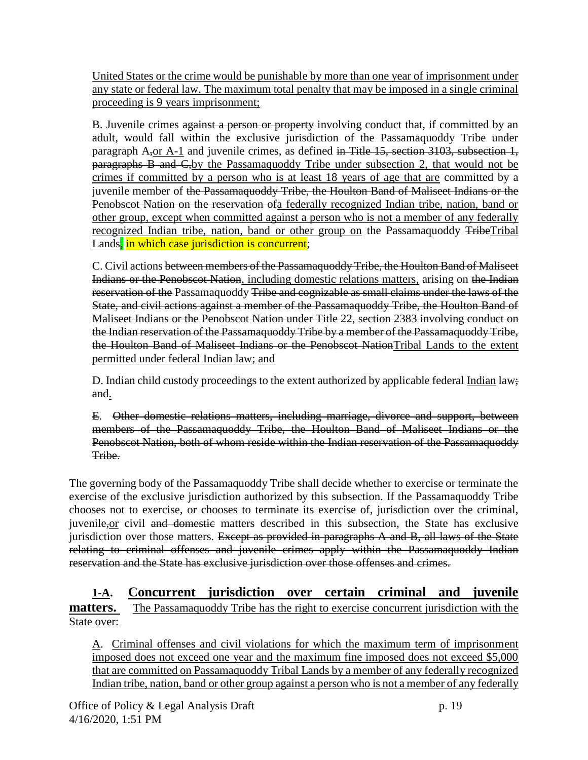United States or the crime would be punishable by more than one year of imprisonment under any state or federal law. The maximum total penalty that may be imposed in a single criminal proceeding is 9 years imprisonment;

B. Juvenile crimes against a person or property involving conduct that, if committed by an adult, would fall within the exclusive jurisdiction of the Passamaquoddy Tribe under paragraph A<sub>7</sub>or A-1 and juvenile crimes, as defined in Title 15, section 3103, subsection 1, paragraphs B and C,by the Passamaquoddy Tribe under subsection 2, that would not be crimes if committed by a person who is at least 18 years of age that are committed by a juvenile member of the Passamaquoddy Tribe, the Houlton Band of Maliseet Indians or the Penobscot Nation on the reservation of a federally recognized Indian tribe, nation, band or other group, except when committed against a person who is not a member of any federally recognized Indian tribe, nation, band or other group on the Passamaquoddy TribeTribal Lands, in which case jurisdiction is concurrent;

C. Civil actions between members of the Passamaquoddy Tribe, the Houlton Band of Maliseet Indians or the Penobscot Nation, including domestic relations matters, arising on the Indian reservation of the Passamaquoddy Tribe and cognizable as small claims under the laws of the State, and civil actions against a member of the Passamaquoddy Tribe, the Houlton Band of Maliseet Indians or the Penobscot Nation under Title 22, section 2383 involving conduct on the Indian reservation of the Passamaquoddy Tribe by a member of the Passamaquoddy Tribe, the Houlton Band of Maliseet Indians or the Penobscot NationTribal Lands to the extent permitted under federal Indian law; and

D. Indian child custody proceedings to the extent authorized by applicable federal Indian law; and.

E. Other domestic relations matters, including marriage, divorce and support, between members of the Passamaquoddy Tribe, the Houlton Band of Maliseet Indians or the Penobscot Nation, both of whom reside within the Indian reservation of the Passamaquoddy Tribe.

The governing body of the Passamaquoddy Tribe shall decide whether to exercise or terminate the exercise of the exclusive jurisdiction authorized by this subsection. If the Passamaquoddy Tribe chooses not to exercise, or chooses to terminate its exercise of, jurisdiction over the criminal, juvenile,or civil and domestic matters described in this subsection, the State has exclusive jurisdiction over those matters. Except as provided in paragraphs A and B, all laws of the State relating to criminal offenses and juvenile crimes apply within the Passamaquoddy Indian reservation and the State has exclusive jurisdiction over those offenses and crimes.

**1-A. Concurrent jurisdiction over certain criminal and juvenile matters.** The Passamaguoddy Tribe has the right to exercise concurrent jurisdiction with the State over:

A. Criminal offenses and civil violations for which the maximum term of imprisonment imposed does not exceed one year and the maximum fine imposed does not exceed \$5,000 that are committed on Passamaquoddy Tribal Lands by a member of any federally recognized Indian tribe, nation, band or other group against a person who is not a member of any federally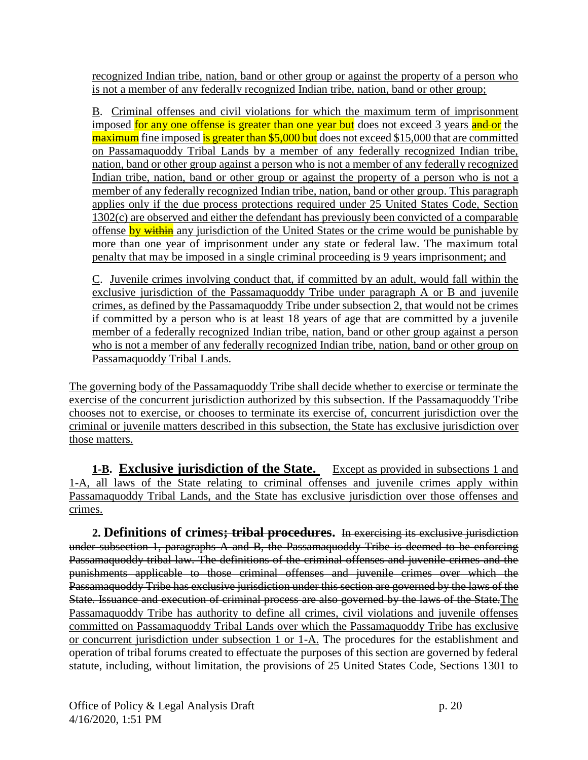recognized Indian tribe, nation, band or other group or against the property of a person who is not a member of any federally recognized Indian tribe, nation, band or other group;

B. Criminal offenses and civil violations for which the maximum term of imprisonment imposed for any one offense is greater than one year but does not exceed 3 years and or the **maximum** fine imposed is greater than \$5,000 but does not exceed \$15,000 that are committed on Passamaquoddy Tribal Lands by a member of any federally recognized Indian tribe, nation, band or other group against a person who is not a member of any federally recognized Indian tribe, nation, band or other group or against the property of a person who is not a member of any federally recognized Indian tribe, nation, band or other group. This paragraph applies only if the due process protections required under 25 United States Code, Section 1302(c) are observed and either the defendant has previously been convicted of a comparable offense by within any jurisdiction of the United States or the crime would be punishable by more than one year of imprisonment under any state or federal law. The maximum total penalty that may be imposed in a single criminal proceeding is 9 years imprisonment; and

C. Juvenile crimes involving conduct that, if committed by an adult, would fall within the exclusive jurisdiction of the Passamaquoddy Tribe under paragraph A or B and juvenile crimes, as defined by the Passamaquoddy Tribe under subsection 2, that would not be crimes if committed by a person who is at least 18 years of age that are committed by a juvenile member of a federally recognized Indian tribe, nation, band or other group against a person who is not a member of any federally recognized Indian tribe, nation, band or other group on Passamaquoddy Tribal Lands.

The governing body of the Passamaquoddy Tribe shall decide whether to exercise or terminate the exercise of the concurrent jurisdiction authorized by this subsection. If the Passamaquoddy Tribe chooses not to exercise, or chooses to terminate its exercise of, concurrent jurisdiction over the criminal or juvenile matters described in this subsection, the State has exclusive jurisdiction over those matters.

**1-B. Exclusive jurisdiction of the State.** Except as provided in subsections 1 and 1-A, all laws of the State relating to criminal offenses and juvenile crimes apply within Passamaquoddy Tribal Lands, and the State has exclusive jurisdiction over those offenses and crimes.

**2. Definitions of crimes; tribal procedures.** In exercising its exclusive jurisdiction under subsection 1, paragraphs A and B, the Passamaquoddy Tribe is deemed to be enforcing Passamaquoddy tribal law. The definitions of the criminal offenses and juvenile crimes and the punishments applicable to those criminal offenses and juvenile crimes over which the Passamaquoddy Tribe has exclusive jurisdiction under this section are governed by the laws of the State. Issuance and execution of criminal process are also governed by the laws of the State.The Passamaquoddy Tribe has authority to define all crimes, civil violations and juvenile offenses committed on Passamaquoddy Tribal Lands over which the Passamaquoddy Tribe has exclusive or concurrent jurisdiction under subsection 1 or 1-A. The procedures for the establishment and operation of tribal forums created to effectuate the purposes of this section are governed by federal statute, including, without limitation, the provisions of 25 United States Code, Sections 1301 to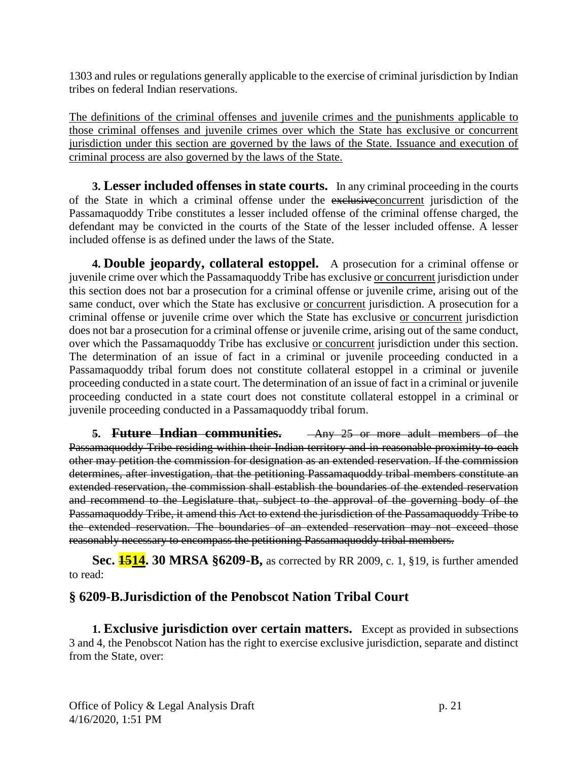1303 and rules or regulations generally applicable to the exercise of criminal jurisdiction by Indian tribes on federal Indian reservations.

The definitions of the criminal offenses and juvenile crimes and the punishments applicable to those criminal offenses and juvenile crimes over which the State has exclusive or concurrent jurisdiction under this section are governed by the laws of the State. Issuance and execution of criminal process are also governed by the laws of the State.

**3. Lesser included offenses in state courts.** In any criminal proceeding in the courts of the State in which a criminal offense under the exclusiveconcurrent jurisdiction of the Passamaquoddy Tribe constitutes a lesser included offense of the criminal offense charged, the defendant may be convicted in the courts of the State of the lesser included offense. A lesser included offense is as defined under the laws of the State.

**4. Double jeopardy, collateral estoppel.** A prosecution for a criminal offense or juvenile crime over which the Passamaquoddy Tribe has exclusive or concurrent jurisdiction under this section does not bar a prosecution for a criminal offense or juvenile crime, arising out of the same conduct, over which the State has exclusive or concurrent jurisdiction. A prosecution for a criminal offense or juvenile crime over which the State has exclusive or concurrent jurisdiction does not bar a prosecution for a criminal offense or juvenile crime, arising out of the same conduct, over which the Passamaquoddy Tribe has exclusive or concurrent jurisdiction under this section. The determination of an issue of fact in a criminal or juvenile proceeding conducted in a Passamaquoddy tribal forum does not constitute collateral estoppel in a criminal or juvenile proceeding conducted in a state court. The determination of an issue of fact in a criminal or juvenile proceeding conducted in a state court does not constitute collateral estoppel in a criminal or juvenile proceeding conducted in a Passamaquoddy tribal forum.

**5. Future Indian communities.** Any 25 or more adult members of the Passamaquoddy Tribe residing within their Indian territory and in reasonable proximity to each other may petition the commission for designation as an extended reservation. If the commission determines, after investigation, that the petitioning Passamaquoddy tribal members constitute an extended reservation, the commission shall establish the boundaries of the extended reservation and recommend to the Legislature that, subject to the approval of the governing body of the Passamaquoddy Tribe, it amend this Act to extend the jurisdiction of the Passamaquoddy Tribe to the extended reservation. The boundaries of an extended reservation may not exceed those reasonably necessary to encompass the petitioning Passamaquoddy tribal members.

**Sec. 1514. 30 MRSA §6209-B,** as corrected by RR 2009, c. 1, §19, is further amended to read:

# **§ 6209-B.Jurisdiction of the Penobscot Nation Tribal Court**

**1. Exclusive jurisdiction over certain matters.** Except as provided in subsections 3 and 4, the Penobscot Nation has the right to exercise exclusive jurisdiction, separate and distinct from the State, over: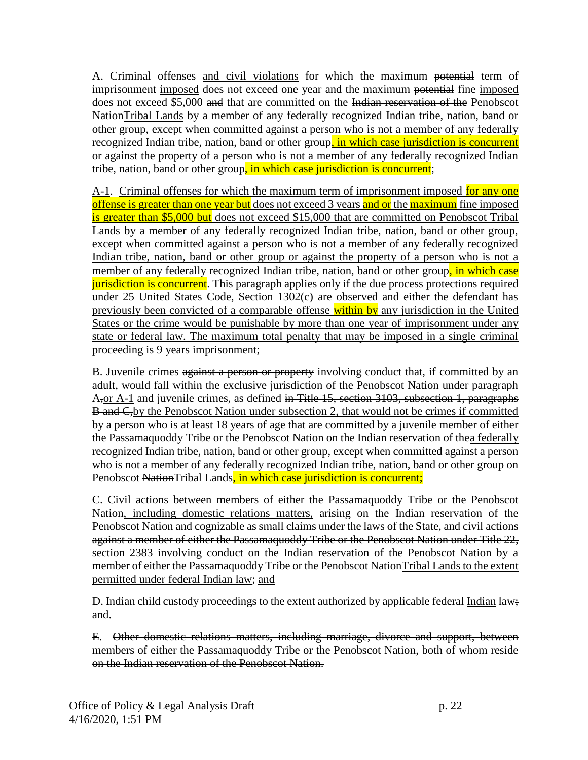A. Criminal offenses and civil violations for which the maximum potential term of imprisonment imposed does not exceed one year and the maximum potential fine imposed does not exceed \$5,000 and that are committed on the Indian reservation of the Penobscot NationTribal Lands by a member of any federally recognized Indian tribe, nation, band or other group, except when committed against a person who is not a member of any federally recognized Indian tribe, nation, band or other group, in which case jurisdiction is concurrent or against the property of a person who is not a member of any federally recognized Indian tribe, nation, band or other group, in which case jurisdiction is concurrent;

A-1. Criminal offenses for which the maximum term of imprisonment imposed for any one offense is greater than one year but does not exceed 3 years and or the maximum-fine imposed is greater than \$5,000 but does not exceed \$15,000 that are committed on Penobscot Tribal Lands by a member of any federally recognized Indian tribe, nation, band or other group, except when committed against a person who is not a member of any federally recognized Indian tribe, nation, band or other group or against the property of a person who is not a member of any federally recognized Indian tribe, nation, band or other group, in which case jurisdiction is concurrent. This paragraph applies only if the due process protections required under 25 United States Code, Section 1302(c) are observed and either the defendant has previously been convicted of a comparable offense within by any jurisdiction in the United States or the crime would be punishable by more than one year of imprisonment under any state or federal law. The maximum total penalty that may be imposed in a single criminal proceeding is 9 years imprisonment;

B. Juvenile crimes against a person or property involving conduct that, if committed by an adult, would fall within the exclusive jurisdiction of the Penobscot Nation under paragraph A,or A-1 and juvenile crimes, as defined in Title 15, section 3103, subsection 1, paragraphs B and C,by the Penobscot Nation under subsection 2, that would not be crimes if committed by a person who is at least 18 years of age that are committed by a juvenile member of either the Passamaquoddy Tribe or the Penobscot Nation on the Indian reservation of thea federally recognized Indian tribe, nation, band or other group, except when committed against a person who is not a member of any federally recognized Indian tribe, nation, band or other group on Penobscot NationTribal Lands, in which case jurisdiction is concurrent;

C. Civil actions between members of either the Passamaquoddy Tribe or the Penobscot Nation, including domestic relations matters, arising on the Indian reservation of the Penobscot Nation and cognizable as small claims under the laws of the State, and civil actions against a member of either the Passamaquoddy Tribe or the Penobscot Nation under Title 22, section 2383 involving conduct on the Indian reservation of the Penobscot Nation by a member of either the Passamaquoddy Tribe or the Penobscot Nation Tribal Lands to the extent permitted under federal Indian law; and

D. Indian child custody proceedings to the extent authorized by applicable federal Indian law; and.

E. Other domestic relations matters, including marriage, divorce and support, between members of either the Passamaquoddy Tribe or the Penobscot Nation, both of whom reside on the Indian reservation of the Penobscot Nation.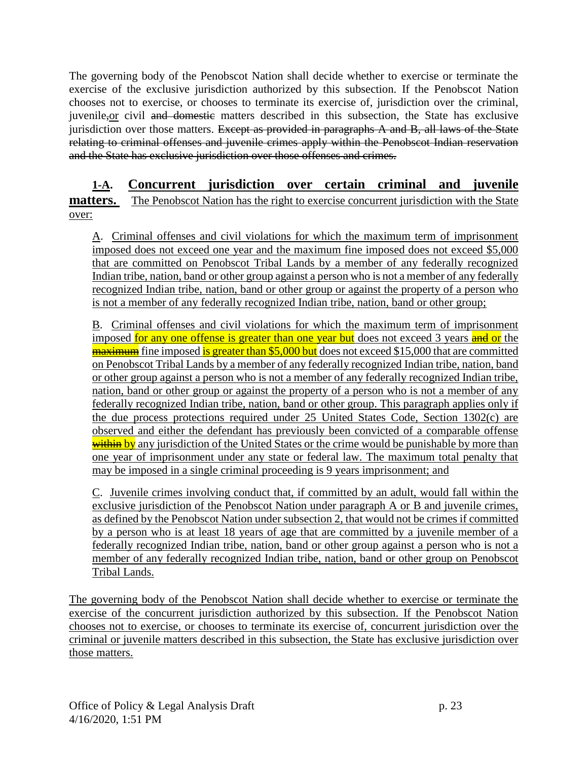The governing body of the Penobscot Nation shall decide whether to exercise or terminate the exercise of the exclusive jurisdiction authorized by this subsection. If the Penobscot Nation chooses not to exercise, or chooses to terminate its exercise of, jurisdiction over the criminal, juvenile,or civil and domestic matters described in this subsection, the State has exclusive jurisdiction over those matters. Except as provided in paragraphs A and B, all laws of the State relating to criminal offenses and juvenile crimes apply within the Penobscot Indian reservation and the State has exclusive jurisdiction over those offenses and crimes.

**1-A. Concurrent jurisdiction over certain criminal and juvenile matters.** The Penobscot Nation has the right to exercise concurrent jurisdiction with the State over:

A. Criminal offenses and civil violations for which the maximum term of imprisonment imposed does not exceed one year and the maximum fine imposed does not exceed \$5,000 that are committed on Penobscot Tribal Lands by a member of any federally recognized Indian tribe, nation, band or other group against a person who is not a member of any federally recognized Indian tribe, nation, band or other group or against the property of a person who is not a member of any federally recognized Indian tribe, nation, band or other group;

B. Criminal offenses and civil violations for which the maximum term of imprisonment imposed for any one offense is greater than one year but does not exceed 3 years and or the **maximum** fine imposed is greater than \$5,000 but does not exceed \$15,000 that are committed on Penobscot Tribal Lands by a member of any federally recognized Indian tribe, nation, band or other group against a person who is not a member of any federally recognized Indian tribe, nation, band or other group or against the property of a person who is not a member of any federally recognized Indian tribe, nation, band or other group. This paragraph applies only if the due process protections required under 25 United States Code, Section 1302(c) are observed and either the defendant has previously been convicted of a comparable offense within by any jurisdiction of the United States or the crime would be punishable by more than one year of imprisonment under any state or federal law. The maximum total penalty that may be imposed in a single criminal proceeding is 9 years imprisonment; and

C. Juvenile crimes involving conduct that, if committed by an adult, would fall within the exclusive jurisdiction of the Penobscot Nation under paragraph A or B and juvenile crimes, as defined by the Penobscot Nation under subsection 2, that would not be crimes if committed by a person who is at least 18 years of age that are committed by a juvenile member of a federally recognized Indian tribe, nation, band or other group against a person who is not a member of any federally recognized Indian tribe, nation, band or other group on Penobscot Tribal Lands.

The governing body of the Penobscot Nation shall decide whether to exercise or terminate the exercise of the concurrent jurisdiction authorized by this subsection. If the Penobscot Nation chooses not to exercise, or chooses to terminate its exercise of, concurrent jurisdiction over the criminal or juvenile matters described in this subsection, the State has exclusive jurisdiction over those matters.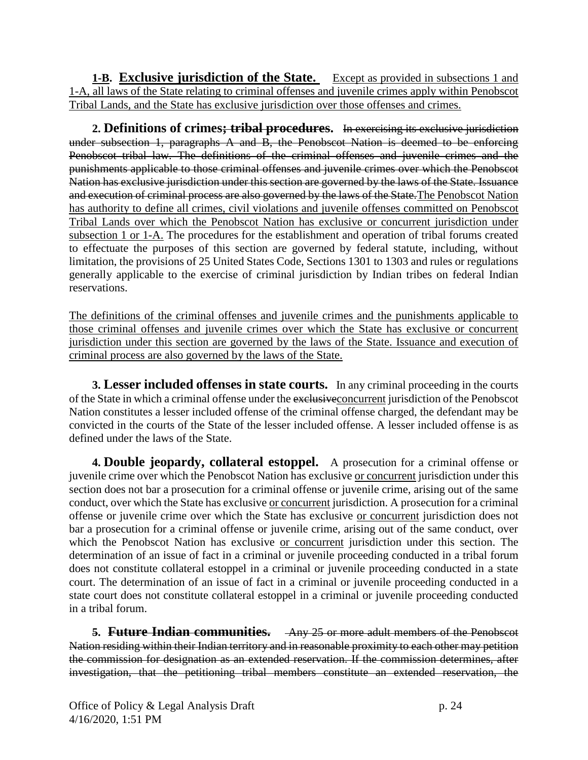**1-B. Exclusive jurisdiction of the State.** Except as provided in subsections 1 and 1-A, all laws of the State relating to criminal offenses and juvenile crimes apply within Penobscot Tribal Lands, and the State has exclusive jurisdiction over those offenses and crimes.

**2. Definitions of crimes; tribal procedures.** In exercising its exclusive jurisdiction under subsection 1, paragraphs A and B, the Penobscot Nation is deemed to be enforcing Penobscot tribal law. The definitions of the criminal offenses and juvenile crimes and the punishments applicable to those criminal offenses and juvenile crimes over which the Penobscot Nation has exclusive jurisdiction under this section are governed by the laws of the State. Issuance and execution of criminal process are also governed by the laws of the State.The Penobscot Nation has authority to define all crimes, civil violations and juvenile offenses committed on Penobscot Tribal Lands over which the Penobscot Nation has exclusive or concurrent jurisdiction under subsection 1 or 1-A. The procedures for the establishment and operation of tribal forums created to effectuate the purposes of this section are governed by federal statute, including, without limitation, the provisions of 25 United States Code, Sections 1301 to 1303 and rules or regulations generally applicable to the exercise of criminal jurisdiction by Indian tribes on federal Indian reservations.

The definitions of the criminal offenses and juvenile crimes and the punishments applicable to those criminal offenses and juvenile crimes over which the State has exclusive or concurrent jurisdiction under this section are governed by the laws of the State. Issuance and execution of criminal process are also governed by the laws of the State.

**3. Lesser included offenses in state courts.** In any criminal proceeding in the courts of the State in which a criminal offense under the exclusiveconcurrent jurisdiction of the Penobscot Nation constitutes a lesser included offense of the criminal offense charged, the defendant may be convicted in the courts of the State of the lesser included offense. A lesser included offense is as defined under the laws of the State.

**4. Double jeopardy, collateral estoppel.** A prosecution for a criminal offense or juvenile crime over which the Penobscot Nation has exclusive or concurrent jurisdiction under this section does not bar a prosecution for a criminal offense or juvenile crime, arising out of the same conduct, over which the State has exclusive or concurrent jurisdiction. A prosecution for a criminal offense or juvenile crime over which the State has exclusive or concurrent jurisdiction does not bar a prosecution for a criminal offense or juvenile crime, arising out of the same conduct, over which the Penobscot Nation has exclusive or concurrent jurisdiction under this section. The determination of an issue of fact in a criminal or juvenile proceeding conducted in a tribal forum does not constitute collateral estoppel in a criminal or juvenile proceeding conducted in a state court. The determination of an issue of fact in a criminal or juvenile proceeding conducted in a state court does not constitute collateral estoppel in a criminal or juvenile proceeding conducted in a tribal forum.

**5. Future Indian communities.** Any 25 or more adult members of the Penobscot Nation residing within their Indian territory and in reasonable proximity to each other may petition the commission for designation as an extended reservation. If the commission determines, after investigation, that the petitioning tribal members constitute an extended reservation, the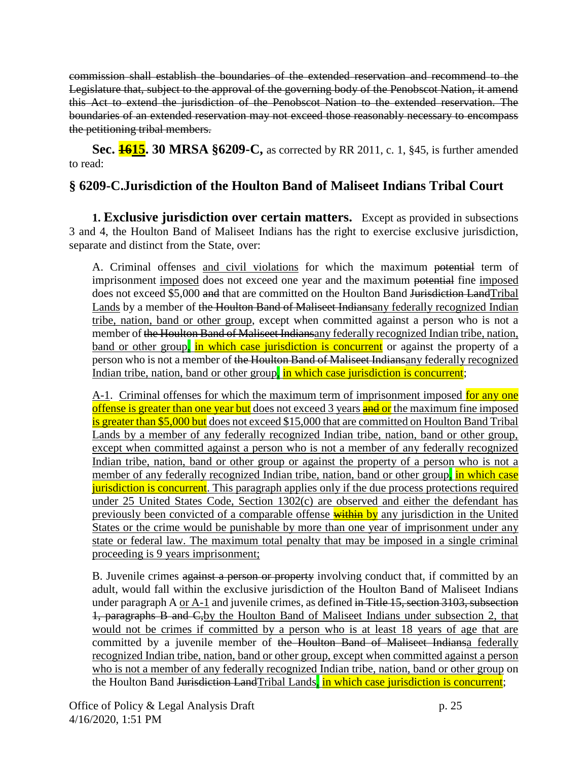commission shall establish the boundaries of the extended reservation and recommend to the Legislature that, subject to the approval of the governing body of the Penobscot Nation, it amend this Act to extend the jurisdiction of the Penobscot Nation to the extended reservation. The boundaries of an extended reservation may not exceed those reasonably necessary to encompass the petitioning tribal members.

**Sec. 1615. 30 MRSA §6209-C,** as corrected by RR 2011, c. 1, §45, is further amended to read:

# **§ 6209-C.Jurisdiction of the Houlton Band of Maliseet Indians Tribal Court**

**1. Exclusive jurisdiction over certain matters.** Except as provided in subsections 3 and 4, the Houlton Band of Maliseet Indians has the right to exercise exclusive jurisdiction, separate and distinct from the State, over:

A. Criminal offenses and civil violations for which the maximum potential term of imprisonment imposed does not exceed one year and the maximum potential fine imposed does not exceed \$5,000 and that are committed on the Houlton Band Jurisdiction LandTribal Lands by a member of the Houlton Band of Maliseet Indiansany federally recognized Indian tribe, nation, band or other group, except when committed against a person who is not a member of the Houlton Band of Maliseet Indiansany federally recognized Indian tribe, nation, band or other group, in which case jurisdiction is concurrent or against the property of a person who is not a member of the Houlton Band of Maliseet Indiansany federally recognized Indian tribe, nation, band or other group, in which case jurisdiction is concurrent;

A-1. Criminal offenses for which the maximum term of imprisonment imposed for any one offense is greater than one year but does not exceed 3 years and or the maximum fine imposed is greater than \$5,000 but does not exceed \$15,000 that are committed on Houlton Band Tribal Lands by a member of any federally recognized Indian tribe, nation, band or other group, except when committed against a person who is not a member of any federally recognized Indian tribe, nation, band or other group or against the property of a person who is not a member of any federally recognized Indian tribe, nation, band or other group, in which case jurisdiction is concurrent. This paragraph applies only if the due process protections required under 25 United States Code, Section 1302(c) are observed and either the defendant has previously been convicted of a comparable offense within by any jurisdiction in the United States or the crime would be punishable by more than one year of imprisonment under any state or federal law. The maximum total penalty that may be imposed in a single criminal proceeding is 9 years imprisonment;

B. Juvenile crimes against a person or property involving conduct that, if committed by an adult, would fall within the exclusive jurisdiction of the Houlton Band of Maliseet Indians under paragraph A or A-1 and juvenile crimes, as defined in Title 15, section 3103, subsection 1, paragraphs B and C,by the Houlton Band of Maliseet Indians under subsection 2, that would not be crimes if committed by a person who is at least 18 years of age that are committed by a juvenile member of the Houlton Band of Maliseet Indiansa federally recognized Indian tribe, nation, band or other group, except when committed against a person who is not a member of any federally recognized Indian tribe, nation, band or other group on the Houlton Band Jurisdiction LandTribal Lands, in which case jurisdiction is concurrent;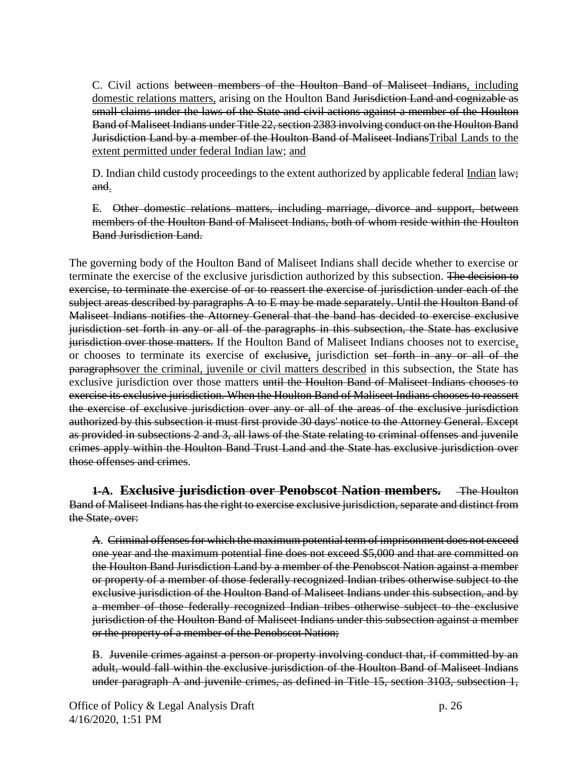C. Civil actions between members of the Houlton Band of Maliseet Indians, including domestic relations matters, arising on the Houlton Band Jurisdiction Land and cognizable as small claims under the laws of the State and civil actions against a member of the Houlton Band of Maliseet Indians under Title 22, section 2383 involving conduct on the Houlton Band Jurisdiction Land by a member of the Houlton Band of Maliseet IndiansTribal Lands to the extent permitted under federal Indian law; and

D. Indian child custody proceedings to the extent authorized by applicable federal Indian law; and.

E. Other domestic relations matters, including marriage, divorce and support, between members of the Houlton Band of Maliseet Indians, both of whom reside within the Houlton Band Jurisdiction Land.

The governing body of the Houlton Band of Maliseet Indians shall decide whether to exercise or terminate the exercise of the exclusive jurisdiction authorized by this subsection. The decision to exercise, to terminate the exercise of or to reassert the exercise of jurisdiction under each of the subject areas described by paragraphs A to E may be made separately. Until the Houlton Band of Maliseet Indians notifies the Attorney General that the band has decided to exercise exclusive jurisdiction set forth in any or all of the paragraphs in this subsection, the State has exclusive jurisdiction over those matters. If the Houlton Band of Maliseet Indians chooses not to exercise, or chooses to terminate its exercise of exclusive, jurisdiction set forth in any or all of the paragraphsover the criminal, juvenile or civil matters described in this subsection, the State has exclusive jurisdiction over those matters until the Houlton Band of Maliseet Indians chooses to exercise its exclusive jurisdiction. When the Houlton Band of Maliseet Indians chooses to reassert the exercise of exclusive jurisdiction over any or all of the areas of the exclusive jurisdiction authorized by this subsection it must first provide 30 days' notice to the Attorney General. Except as provided in subsections 2 and 3, all laws of the State relating to criminal offenses and juvenile crimes apply within the Houlton Band Trust Land and the State has exclusive jurisdiction over those offenses and crimes.

**1-A. Exclusive jurisdiction over Penobscot Nation members.** The Houlton Band of Maliseet Indians has the right to exercise exclusive jurisdiction, separate and distinct from the State, over:

A. Criminal offenses for which the maximum potential term of imprisonment does not exceed one year and the maximum potential fine does not exceed \$5,000 and that are committed on the Houlton Band Jurisdiction Land by a member of the Penobscot Nation against a member or property of a member of those federally recognized Indian tribes otherwise subject to the exclusive jurisdiction of the Houlton Band of Maliseet Indians under this subsection, and by a member of those federally recognized Indian tribes otherwise subject to the exclusive jurisdiction of the Houlton Band of Maliseet Indians under this subsection against a member or the property of a member of the Penobscot Nation;

B. Juvenile crimes against a person or property involving conduct that, if committed by an adult, would fall within the exclusive jurisdiction of the Houlton Band of Maliseet Indians under paragraph A and juvenile crimes, as defined in Title 15, section 3103, subsection 1,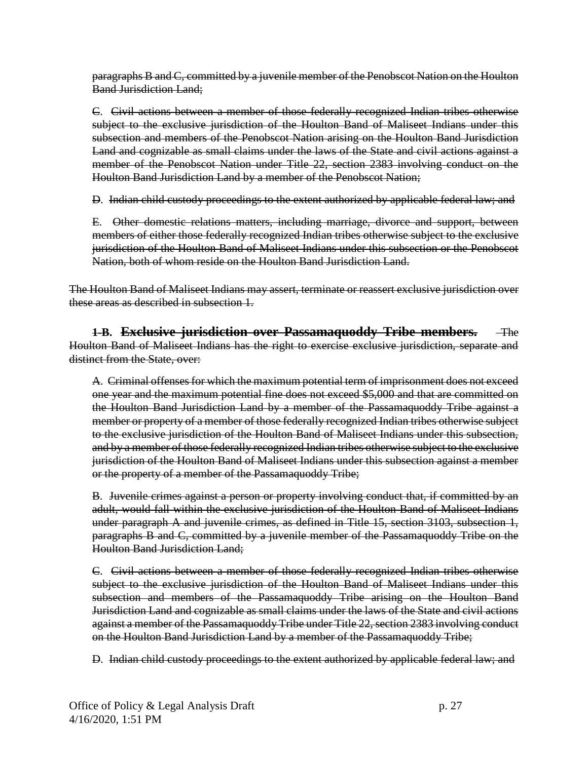paragraphs B and C, committed by a juvenile member of the Penobscot Nation on the Houlton Band Jurisdiction Land;

C. Civil actions between a member of those federally recognized Indian tribes otherwise subject to the exclusive jurisdiction of the Houlton Band of Maliseet Indians under this subsection and members of the Penobscot Nation arising on the Houlton Band Jurisdiction Land and cognizable as small claims under the laws of the State and civil actions against a member of the Penobscot Nation under Title 22, section 2383 involving conduct on the Houlton Band Jurisdiction Land by a member of the Penobscot Nation;

D. Indian child custody proceedings to the extent authorized by applicable federal law; and

E. Other domestic relations matters, including marriage, divorce and support, between members of either those federally recognized Indian tribes otherwise subject to the exclusive jurisdiction of the Houlton Band of Maliseet Indians under this subsection or the Penobscot Nation, both of whom reside on the Houlton Band Jurisdiction Land.

The Houlton Band of Maliseet Indians may assert, terminate or reassert exclusive jurisdiction over these areas as described in subsection 1.

**1-B. Exclusive jurisdiction over Passamaquoddy Tribe members.** The Houlton Band of Maliseet Indians has the right to exercise exclusive jurisdiction, separate and distinct from the State, over:

A. Criminal offenses for which the maximum potential term of imprisonment does not exceed one year and the maximum potential fine does not exceed \$5,000 and that are committed on the Houlton Band Jurisdiction Land by a member of the Passamaquoddy Tribe against a member or property of a member of those federally recognized Indian tribes otherwise subject to the exclusive jurisdiction of the Houlton Band of Maliseet Indians under this subsection, and by a member of those federally recognized Indian tribes otherwise subject to the exclusive jurisdiction of the Houlton Band of Maliseet Indians under this subsection against a member or the property of a member of the Passamaquoddy Tribe;

B. Juvenile crimes against a person or property involving conduct that, if committed by an adult, would fall within the exclusive jurisdiction of the Houlton Band of Maliseet Indians under paragraph A and juvenile crimes, as defined in Title 15, section 3103, subsection 1, paragraphs B and C, committed by a juvenile member of the Passamaquoddy Tribe on the Houlton Band Jurisdiction Land;

C. Civil actions between a member of those federally recognized Indian tribes otherwise subject to the exclusive jurisdiction of the Houlton Band of Maliseet Indians under this subsection and members of the Passamaquoddy Tribe arising on the Houlton Band Jurisdiction Land and cognizable as small claims under the laws of the State and civil actions against a member of the Passamaquoddy Tribe under Title 22, section 2383 involving conduct on the Houlton Band Jurisdiction Land by a member of the Passamaquoddy Tribe;

D. Indian child custody proceedings to the extent authorized by applicable federal law; and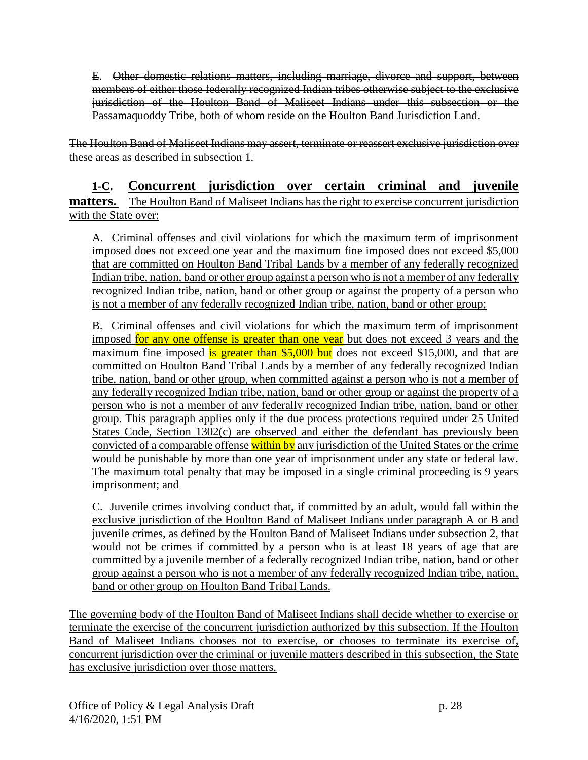E. Other domestic relations matters, including marriage, divorce and support, between members of either those federally recognized Indian tribes otherwise subject to the exclusive jurisdiction of the Houlton Band of Maliseet Indians under this subsection or the Passamaquoddy Tribe, both of whom reside on the Houlton Band Jurisdiction Land.

The Houlton Band of Maliseet Indians may assert, terminate or reassert exclusive jurisdiction over these areas as described in subsection 1.

**1-C. Concurrent jurisdiction over certain criminal and juvenile matters.** The Houlton Band of Maliseet Indians has the right to exercise concurrent jurisdiction with the State over:

A. Criminal offenses and civil violations for which the maximum term of imprisonment imposed does not exceed one year and the maximum fine imposed does not exceed \$5,000 that are committed on Houlton Band Tribal Lands by a member of any federally recognized Indian tribe, nation, band or other group against a person who is not a member of any federally recognized Indian tribe, nation, band or other group or against the property of a person who is not a member of any federally recognized Indian tribe, nation, band or other group;

B. Criminal offenses and civil violations for which the maximum term of imprisonment imposed for any one offense is greater than one year but does not exceed 3 years and the maximum fine imposed is greater than \$5,000 but does not exceed \$15,000, and that are committed on Houlton Band Tribal Lands by a member of any federally recognized Indian tribe, nation, band or other group, when committed against a person who is not a member of any federally recognized Indian tribe, nation, band or other group or against the property of a person who is not a member of any federally recognized Indian tribe, nation, band or other group. This paragraph applies only if the due process protections required under 25 United States Code, Section 1302(c) are observed and either the defendant has previously been convicted of a comparable offense within by any jurisdiction of the United States or the crime would be punishable by more than one year of imprisonment under any state or federal law. The maximum total penalty that may be imposed in a single criminal proceeding is 9 years imprisonment; and

C. Juvenile crimes involving conduct that, if committed by an adult, would fall within the exclusive jurisdiction of the Houlton Band of Maliseet Indians under paragraph A or B and juvenile crimes, as defined by the Houlton Band of Maliseet Indians under subsection 2, that would not be crimes if committed by a person who is at least 18 years of age that are committed by a juvenile member of a federally recognized Indian tribe, nation, band or other group against a person who is not a member of any federally recognized Indian tribe, nation, band or other group on Houlton Band Tribal Lands.

The governing body of the Houlton Band of Maliseet Indians shall decide whether to exercise or terminate the exercise of the concurrent jurisdiction authorized by this subsection. If the Houlton Band of Maliseet Indians chooses not to exercise, or chooses to terminate its exercise of, concurrent jurisdiction over the criminal or juvenile matters described in this subsection, the State has exclusive jurisdiction over those matters.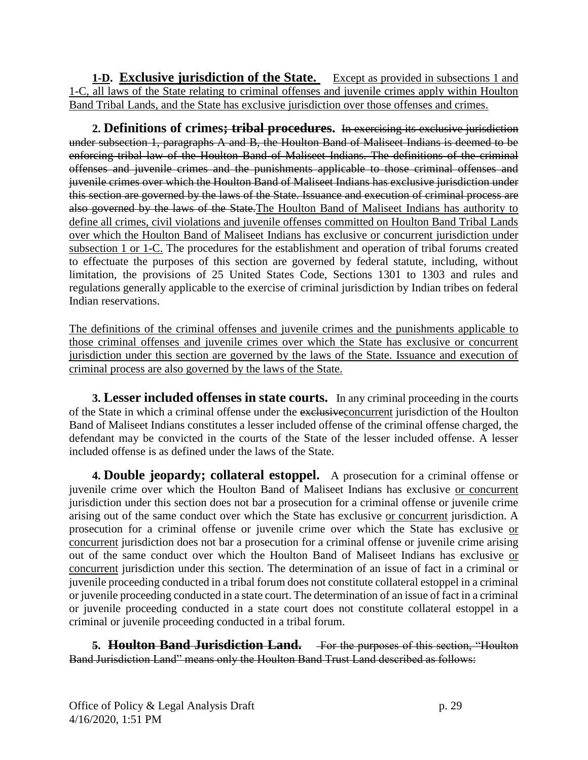**1-D. Exclusive jurisdiction of the State.** Except as provided in subsections 1 and 1-C, all laws of the State relating to criminal offenses and juvenile crimes apply within Houlton Band Tribal Lands, and the State has exclusive jurisdiction over those offenses and crimes.

**2. Definitions of crimes; tribal procedures.** In exercising its exclusive jurisdiction under subsection 1, paragraphs A and B, the Houlton Band of Maliseet Indians is deemed to be enforcing tribal law of the Houlton Band of Maliseet Indians. The definitions of the criminal offenses and juvenile crimes and the punishments applicable to those criminal offenses and juvenile crimes over which the Houlton Band of Maliseet Indians has exclusive jurisdiction under this section are governed by the laws of the State. Issuance and execution of criminal process are also governed by the laws of the State.The Houlton Band of Maliseet Indians has authority to define all crimes, civil violations and juvenile offenses committed on Houlton Band Tribal Lands over which the Houlton Band of Maliseet Indians has exclusive or concurrent jurisdiction under subsection 1 or 1-C. The procedures for the establishment and operation of tribal forums created to effectuate the purposes of this section are governed by federal statute, including, without limitation, the provisions of 25 United States Code, Sections 1301 to 1303 and rules and regulations generally applicable to the exercise of criminal jurisdiction by Indian tribes on federal Indian reservations.

The definitions of the criminal offenses and juvenile crimes and the punishments applicable to those criminal offenses and juvenile crimes over which the State has exclusive or concurrent jurisdiction under this section are governed by the laws of the State. Issuance and execution of criminal process are also governed by the laws of the State.

**3. Lesser included offenses in state courts.** In any criminal proceeding in the courts of the State in which a criminal offense under the exclusiveconcurrent jurisdiction of the Houlton Band of Maliseet Indians constitutes a lesser included offense of the criminal offense charged, the defendant may be convicted in the courts of the State of the lesser included offense. A lesser included offense is as defined under the laws of the State.

**4. Double jeopardy; collateral estoppel.** A prosecution for a criminal offense or juvenile crime over which the Houlton Band of Maliseet Indians has exclusive or concurrent jurisdiction under this section does not bar a prosecution for a criminal offense or juvenile crime arising out of the same conduct over which the State has exclusive or concurrent jurisdiction. A prosecution for a criminal offense or juvenile crime over which the State has exclusive or concurrent jurisdiction does not bar a prosecution for a criminal offense or juvenile crime arising out of the same conduct over which the Houlton Band of Maliseet Indians has exclusive or concurrent jurisdiction under this section. The determination of an issue of fact in a criminal or juvenile proceeding conducted in a tribal forum does not constitute collateral estoppel in a criminal or juvenile proceeding conducted in a state court. The determination of an issue of fact in a criminal or juvenile proceeding conducted in a state court does not constitute collateral estoppel in a criminal or juvenile proceeding conducted in a tribal forum.

**5. Houlton Band Jurisdiction Land.** For the purposes of this section, "Houlton Band Jurisdiction Land" means only the Houlton Band Trust Land described as follows: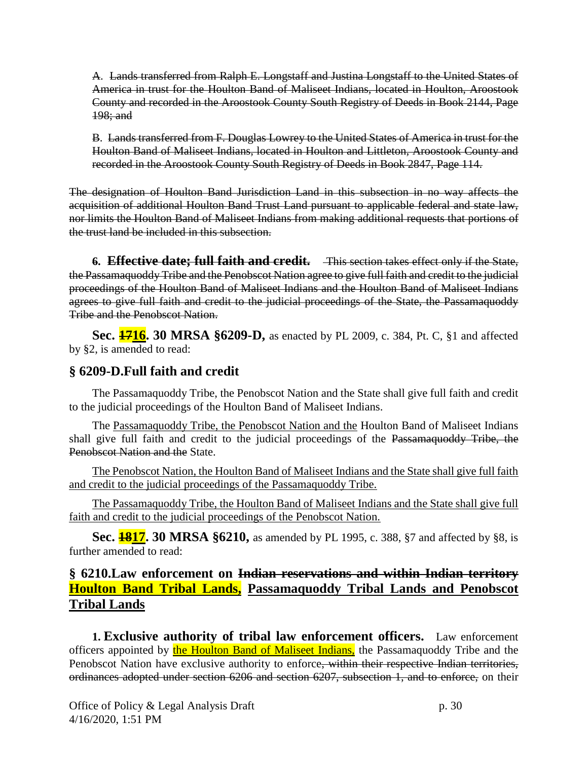A. Lands transferred from Ralph E. Longstaff and Justina Longstaff to the United States of America in trust for the Houlton Band of Maliseet Indians, located in Houlton, Aroostook County and recorded in the Aroostook County South Registry of Deeds in Book 2144, Page 198; and

B. Lands transferred from F. Douglas Lowrey to the United States of America in trust for the Houlton Band of Maliseet Indians, located in Houlton and Littleton, Aroostook County and recorded in the Aroostook County South Registry of Deeds in Book 2847, Page 114.

The designation of Houlton Band Jurisdiction Land in this subsection in no way affects the acquisition of additional Houlton Band Trust Land pursuant to applicable federal and state law, nor limits the Houlton Band of Maliseet Indians from making additional requests that portions of the trust land be included in this subsection.

**6. Effective date; full faith and credit.** This section takes effect only if the State, the Passamaquoddy Tribe and the Penobscot Nation agree to give full faith and credit to the judicial proceedings of the Houlton Band of Maliseet Indians and the Houlton Band of Maliseet Indians agrees to give full faith and credit to the judicial proceedings of the State, the Passamaquoddy Tribe and the Penobscot Nation.

**Sec. 1716.** 30 MRSA §6209-D, as enacted by PL 2009, c. 384, Pt. C, §1 and affected by §2, is amended to read:

# **§ 6209-D.Full faith and credit**

The Passamaquoddy Tribe, the Penobscot Nation and the State shall give full faith and credit to the judicial proceedings of the Houlton Band of Maliseet Indians.

The Passamaquoddy Tribe, the Penobscot Nation and the Houlton Band of Maliseet Indians shall give full faith and credit to the judicial proceedings of the Passamaquoddy Tribe, the Penobscot Nation and the State.

The Penobscot Nation, the Houlton Band of Maliseet Indians and the State shall give full faith and credit to the judicial proceedings of the Passamaquoddy Tribe.

The Passamaquoddy Tribe, the Houlton Band of Maliseet Indians and the State shall give full faith and credit to the judicial proceedings of the Penobscot Nation.

**Sec. <b>1817.** 30 MRSA §6210, as amended by PL 1995, c. 388, §7 and affected by §8, is further amended to read:

# **§ 6210.Law enforcement on Indian reservations and within Indian territory Houlton Band Tribal Lands, Passamaquoddy Tribal Lands and Penobscot Tribal Lands**

**1. Exclusive authority of tribal law enforcement officers.** Law enforcement officers appointed by the Houlton Band of Maliseet Indians, the Passamaguoddy Tribe and the Penobscot Nation have exclusive authority to enforce, within their respective Indian territories, ordinances adopted under section 6206 and section 6207, subsection 1, and to enforce, on their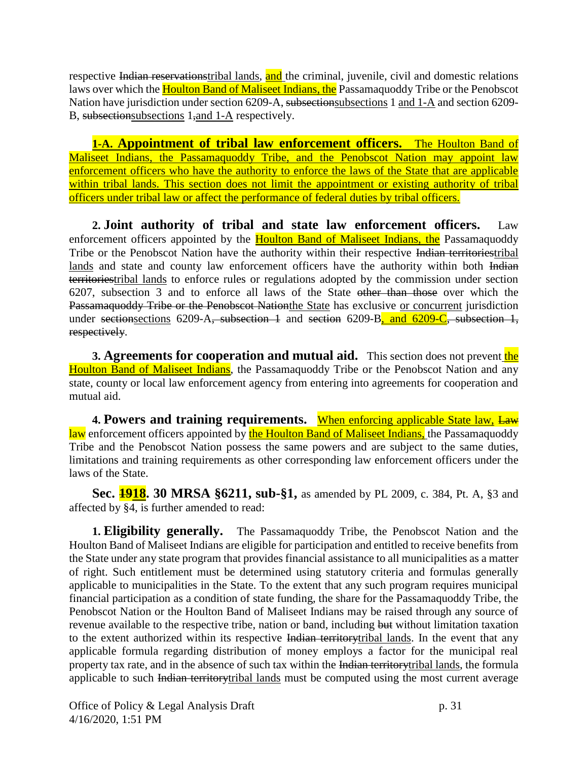respective Indian reservationstribal lands, and the criminal, juvenile, civil and domestic relations laws over which the **Houlton Band of Maliseet Indians, the** Passamaquoddy Tribe or the Penobscot Nation have jurisdiction under section 6209-A, subsectionsubsections 1 and 1-A and section 6209- B, subsectionsubsections 1,and 1-A respectively.

**1-A. Appointment of tribal law enforcement officers.** The Houlton Band of Maliseet Indians, the Passamaquoddy Tribe, and the Penobscot Nation may appoint law enforcement officers who have the authority to enforce the laws of the State that are applicable within tribal lands. This section does not limit the appointment or existing authority of tribal officers under tribal law or affect the performance of federal duties by tribal officers.

**2. Joint authority of tribal and state law enforcement officers.** Law enforcement officers appointed by the **Houlton Band of Maliseet Indians, the** Passamaquoddy Tribe or the Penobscot Nation have the authority within their respective Indian territoriestribal lands and state and county law enforcement officers have the authority within both Indian territoriestribal lands to enforce rules or regulations adopted by the commission under section 6207, subsection 3 and to enforce all laws of the State other than those over which the Passamaquoddy Tribe or the Penobscot Nationthe State has exclusive or concurrent jurisdiction under sectionsections 6209-A, subsection 1 and section 6209-B, and 6209-C, subsection 1, respectively.

**3. Agreements for cooperation and mutual aid.** This section does not prevent the Houlton Band of Maliseet Indians, the Passamaquoddy Tribe or the Penobscot Nation and any state, county or local law enforcement agency from entering into agreements for cooperation and mutual aid.

**4. Powers and training requirements.** When enforcing applicable State law, Law law enforcement officers appointed by the Houlton Band of Maliseet Indians, the Passamaquoddy Tribe and the Penobscot Nation possess the same powers and are subject to the same duties, limitations and training requirements as other corresponding law enforcement officers under the laws of the State.

**Sec. 1918. 30 MRSA §6211, sub-§1,** as amended by PL 2009, c. 384, Pt. A, §3 and affected by §4, is further amended to read:

**1. Eligibility generally.** The Passamaquoddy Tribe, the Penobscot Nation and the Houlton Band of Maliseet Indians are eligible for participation and entitled to receive benefits from the State under any state program that provides financial assistance to all municipalities as a matter of right. Such entitlement must be determined using statutory criteria and formulas generally applicable to municipalities in the State. To the extent that any such program requires municipal financial participation as a condition of state funding, the share for the Passamaquoddy Tribe, the Penobscot Nation or the Houlton Band of Maliseet Indians may be raised through any source of revenue available to the respective tribe, nation or band, including but without limitation taxation to the extent authorized within its respective Indian territorytribal lands. In the event that any applicable formula regarding distribution of money employs a factor for the municipal real property tax rate, and in the absence of such tax within the Indian territorytribal lands, the formula applicable to such Indian territorytribal lands must be computed using the most current average

Office of Policy  $&$  Legal Analysis Draft p. 31 4/16/2020, 1:51 PM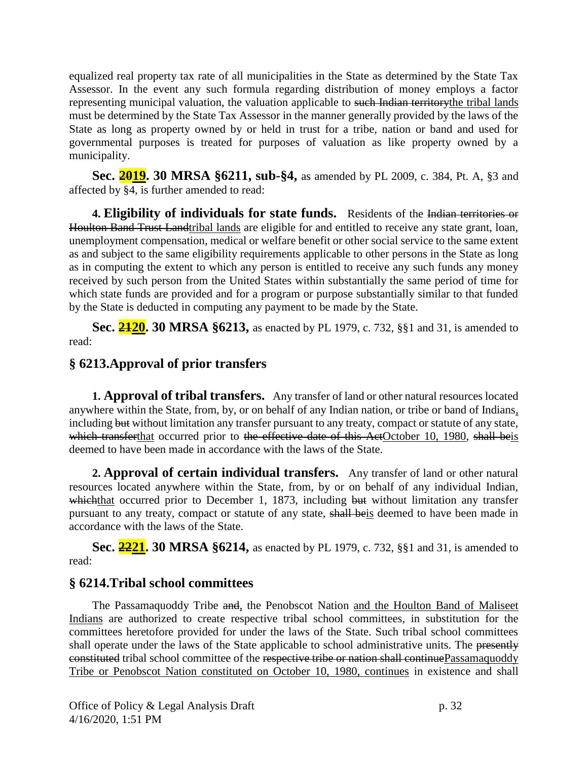equalized real property tax rate of all municipalities in the State as determined by the State Tax Assessor. In the event any such formula regarding distribution of money employs a factor representing municipal valuation, the valuation applicable to such Indian territorythe tribal lands must be determined by the State Tax Assessor in the manner generally provided by the laws of the State as long as property owned by or held in trust for a tribe, nation or band and used for governmental purposes is treated for purposes of valuation as like property owned by a municipality.

**Sec. 2019. 30 MRSA §6211, sub-§4,** as amended by PL 2009, c. 384, Pt. A, §3 and affected by §4, is further amended to read:

**4. Eligibility of individuals for state funds.** Residents of the Indian territories or Houlton Band Trust Landtribal lands are eligible for and entitled to receive any state grant, loan, unemployment compensation, medical or welfare benefit or other social service to the same extent as and subject to the same eligibility requirements applicable to other persons in the State as long as in computing the extent to which any person is entitled to receive any such funds any money received by such person from the United States within substantially the same period of time for which state funds are provided and for a program or purpose substantially similar to that funded by the State is deducted in computing any payment to be made by the State.

**Sec. 2120. 30 MRSA §6213,** as enacted by PL 1979, c. 732, §§1 and 31, is amended to read:

## **§ 6213.Approval of prior transfers**

**1. Approval of tribal transfers.** Any transfer of land or other natural resources located anywhere within the State, from, by, or on behalf of any Indian nation, or tribe or band of Indians, including but without limitation any transfer pursuant to any treaty, compact or statute of any state, which transferthat occurred prior to the effective date of this ActOctober 10, 1980, shall beis deemed to have been made in accordance with the laws of the State.

**2. Approval of certain individual transfers.** Any transfer of land or other natural resources located anywhere within the State, from, by or on behalf of any individual Indian, which that occurred prior to December 1, 1873, including but without limitation any transfer pursuant to any treaty, compact or statute of any state, shall beis deemed to have been made in accordance with the laws of the State.

**Sec.** 2221. 30 MRSA §6214, as enacted by PL 1979, c. 732, §§1 and 31, is amended to read:

## **§ 6214.Tribal school committees**

The Passamaquoddy Tribe and, the Penobscot Nation and the Houlton Band of Maliseet Indians are authorized to create respective tribal school committees, in substitution for the committees heretofore provided for under the laws of the State. Such tribal school committees shall operate under the laws of the State applicable to school administrative units. The presently constituted tribal school committee of the respective tribe or nation shall continuePassamaquoddy Tribe or Penobscot Nation constituted on October 10, 1980, continues in existence and shall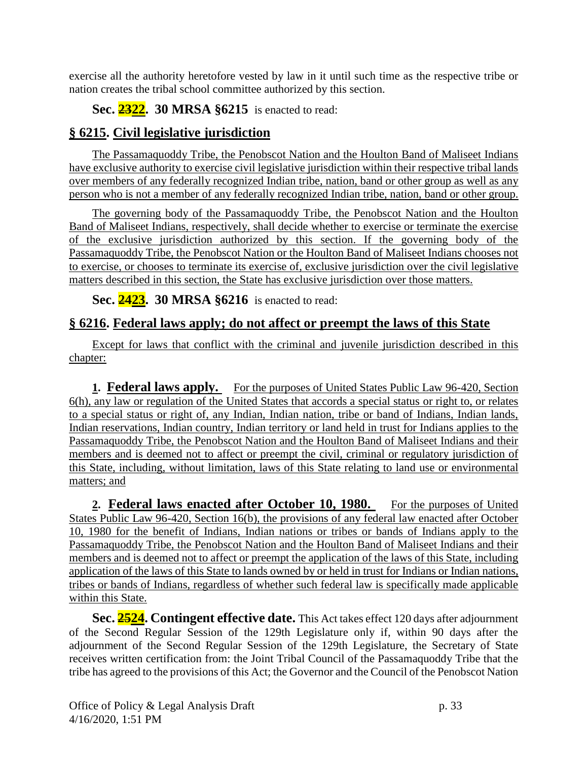exercise all the authority heretofore vested by law in it until such time as the respective tribe or nation creates the tribal school committee authorized by this section.

**Sec. 2322. 30 MRSA §6215** is enacted to read:

# **§ 6215. Civil legislative jurisdiction**

The Passamaquoddy Tribe, the Penobscot Nation and the Houlton Band of Maliseet Indians have exclusive authority to exercise civil legislative jurisdiction within their respective tribal lands over members of any federally recognized Indian tribe, nation, band or other group as well as any person who is not a member of any federally recognized Indian tribe, nation, band or other group.

The governing body of the Passamaquoddy Tribe, the Penobscot Nation and the Houlton Band of Maliseet Indians, respectively, shall decide whether to exercise or terminate the exercise of the exclusive jurisdiction authorized by this section. If the governing body of the Passamaquoddy Tribe, the Penobscot Nation or the Houlton Band of Maliseet Indians chooses not to exercise, or chooses to terminate its exercise of, exclusive jurisdiction over the civil legislative matters described in this section, the State has exclusive jurisdiction over those matters.

**Sec. 2423. 30 MRSA §6216** is enacted to read:

# **§ 6216. Federal laws apply; do not affect or preempt the laws of this State**

Except for laws that conflict with the criminal and juvenile jurisdiction described in this chapter:

**1. Federal laws apply.** For the purposes of United States Public Law 96-420, Section 6(h), any law or regulation of the United States that accords a special status or right to, or relates to a special status or right of, any Indian, Indian nation, tribe or band of Indians, Indian lands, Indian reservations, Indian country, Indian territory or land held in trust for Indians applies to the Passamaquoddy Tribe, the Penobscot Nation and the Houlton Band of Maliseet Indians and their members and is deemed not to affect or preempt the civil, criminal or regulatory jurisdiction of this State, including, without limitation, laws of this State relating to land use or environmental matters; and

**2. Federal laws enacted after October 10, 1980.** For the purposes of United States Public Law 96-420, Section 16(b), the provisions of any federal law enacted after October 10, 1980 for the benefit of Indians, Indian nations or tribes or bands of Indians apply to the Passamaquoddy Tribe, the Penobscot Nation and the Houlton Band of Maliseet Indians and their members and is deemed not to affect or preempt the application of the laws of this State, including application of the laws of this State to lands owned by or held in trust for Indians or Indian nations, tribes or bands of Indians, regardless of whether such federal law is specifically made applicable within this State.

**Sec. 2524. Contingent effective date.** This Act takes effect 120 days after adjournment of the Second Regular Session of the 129th Legislature only if, within 90 days after the adjournment of the Second Regular Session of the 129th Legislature, the Secretary of State receives written certification from: the Joint Tribal Council of the Passamaquoddy Tribe that the tribe has agreed to the provisions of this Act; the Governor and the Council of the Penobscot Nation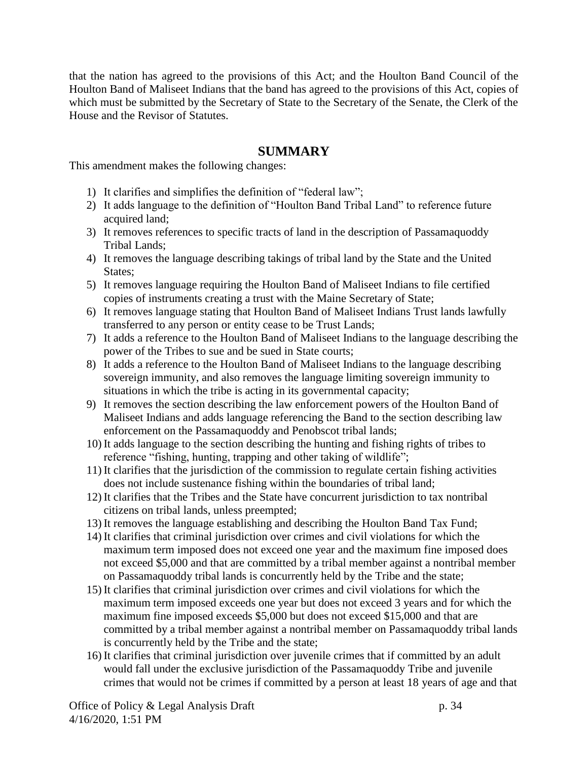that the nation has agreed to the provisions of this Act; and the Houlton Band Council of the Houlton Band of Maliseet Indians that the band has agreed to the provisions of this Act, copies of which must be submitted by the Secretary of State to the Secretary of the Senate, the Clerk of the House and the Revisor of Statutes.

## **SUMMARY**

This amendment makes the following changes:

- 1) It clarifies and simplifies the definition of "federal law";
- 2) It adds language to the definition of "Houlton Band Tribal Land" to reference future acquired land;
- 3) It removes references to specific tracts of land in the description of Passamaquoddy Tribal Lands;
- 4) It removes the language describing takings of tribal land by the State and the United States;
- 5) It removes language requiring the Houlton Band of Maliseet Indians to file certified copies of instruments creating a trust with the Maine Secretary of State;
- 6) It removes language stating that Houlton Band of Maliseet Indians Trust lands lawfully transferred to any person or entity cease to be Trust Lands;
- 7) It adds a reference to the Houlton Band of Maliseet Indians to the language describing the power of the Tribes to sue and be sued in State courts;
- 8) It adds a reference to the Houlton Band of Maliseet Indians to the language describing sovereign immunity, and also removes the language limiting sovereign immunity to situations in which the tribe is acting in its governmental capacity;
- 9) It removes the section describing the law enforcement powers of the Houlton Band of Maliseet Indians and adds language referencing the Band to the section describing law enforcement on the Passamaquoddy and Penobscot tribal lands;
- 10) It adds language to the section describing the hunting and fishing rights of tribes to reference "fishing, hunting, trapping and other taking of wildlife";
- 11) It clarifies that the jurisdiction of the commission to regulate certain fishing activities does not include sustenance fishing within the boundaries of tribal land;
- 12) It clarifies that the Tribes and the State have concurrent jurisdiction to tax nontribal citizens on tribal lands, unless preempted;
- 13) It removes the language establishing and describing the Houlton Band Tax Fund;
- 14) It clarifies that criminal jurisdiction over crimes and civil violations for which the maximum term imposed does not exceed one year and the maximum fine imposed does not exceed \$5,000 and that are committed by a tribal member against a nontribal member on Passamaquoddy tribal lands is concurrently held by the Tribe and the state;
- 15) It clarifies that criminal jurisdiction over crimes and civil violations for which the maximum term imposed exceeds one year but does not exceed 3 years and for which the maximum fine imposed exceeds \$5,000 but does not exceed \$15,000 and that are committed by a tribal member against a nontribal member on Passamaquoddy tribal lands is concurrently held by the Tribe and the state;
- 16) It clarifies that criminal jurisdiction over juvenile crimes that if committed by an adult would fall under the exclusive jurisdiction of the Passamaquoddy Tribe and juvenile crimes that would not be crimes if committed by a person at least 18 years of age and that

Office of Policy & Legal Analysis Draft p. 34 4/16/2020, 1:51 PM